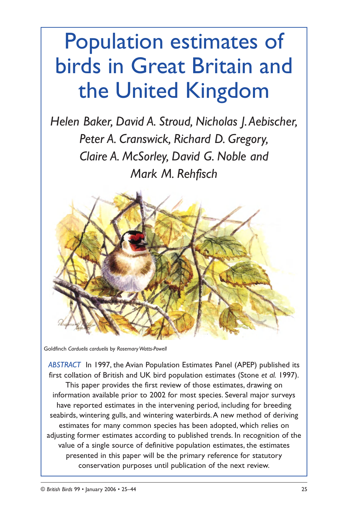# Population estimates of birds in Great Britain and the United Kingdom

*Helen Baker, David A. Stroud, Nicholas J.Aebischer, Peter A. Cranswick, Richard D. Gregory, Claire A. McSorley, David G. Noble and Mark M. Rehfisch*



Goldfinch *Carduelis carduelis* by *Rosemary Watts-Powell*

*ABSTRACT* In 1997, the Avian Population Estimates Panel (APEP) published its first collation of British and UK bird population estimates (Stone *et al.* 1997). This paper provides the first review of those estimates, drawing on information available prior to 2002 for most species. Several major surveys have reported estimates in the intervening period, including for breeding seabirds, wintering gulls, and wintering waterbirds.A new method of deriving estimates for many common species has been adopted, which relies on adjusting former estimates according to published trends. In recognition of the value of a single source of definitive population estimates, the estimates presented in this paper will be the primary reference for statutory conservation purposes until publication of the next review.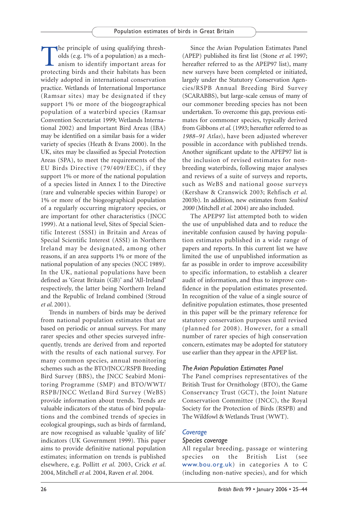The principle of using qualifying thresh-<br>
olds (e.g. 1% of a population) as a mechanism to identify important areas for<br>
protecting birds and their habitats has been olds (e.g. 1% of a population) as a mechprotecting birds and their habitats has been widely adopted in international conservation practice. Wetlands of International Importance (Ramsar sites) may be designated if they support 1% or more of the biogeographical population of a waterbird species (Ramsar Convention Secretariat 1999; Wetlands International 2002) and Important Bird Areas (IBA) may be identified on a similar basis for a wider variety of species (Heath & Evans 2000). In the UK, sites may be classified as Special Protection Areas (SPA), to meet the requirements of the EU Birds Directive (79/409/EEC), if they support 1% or more of the national population of a species listed in Annex I to the Directive (rare and vulnerable species within Europe) or 1% or more of the biogeographical population of a regularly occurring migratory species, or are important for other characteristics (JNCC 1999). At a national level, Sites of Special Scientific Interest (SSSI) in Britain and Areas of Special Scientific Interest (ASSI) in Northern Ireland may be designated, among other reasons, if an area supports 1% or more of the national population of any species (NCC 1989). In the UK, national populations have been defined as 'Great Britain (GB)' and 'All-Ireland' respectively, the latter being Northern Ireland and the Republic of Ireland combined (Stroud *et al*. 2001).

Trends in numbers of birds may be derived from national population estimates that are based on periodic or annual surveys. For many rarer species and other species surveyed infrequently, trends are derived from and reported with the results of each national survey. For many common species, annual monitoring schemes such as the BTO/JNCC/RSPB Breeding Bird Survey (BBS), the JNCC Seabird Monitoring Programme (SMP) and BTO/WWT/ RSPB/JNCC Wetland Bird Survey (WeBS) provide information about trends. Trends are valuable indicators of the status of bird populations and the combined trends of species in ecological groupings, such as birds of farmland, are now recognised as valuable 'quality of life' indicators (UK Government 1999). This paper aims to provide definitive national population estimates; information on trends is published elsewhere, e.g. Pollitt *et al.* 2003, Crick *et al.* 2004, Mitchell *et al.* 2004, Raven *et al.* 2004.

Since the Avian Population Estimates Panel (APEP) published its first list (Stone *et al*. 1997; hereafter referred to as the APEP97 list), many new surveys have been completed or initiated, largely under the Statutory Conservation Agencies/RSPB Annual Breeding Bird Survey (SCARABBS), but large-scale census of many of our commoner breeding species has not been undertaken. To overcome this gap, previous estimates for commoner species, typically derived from Gibbons *et al*. (1993; hereafter referred to as *1988–91 Atlas*), have been adjusted wherever possible in accordance with published trends. Another significant update to the APEP97 list is the inclusion of revised estimates for nonbreeding waterbirds, following major analyses and reviews of a suite of surveys and reports, such as WeBS and national goose surveys (Kershaw & Cranswick 2003; Rehfisch *et al*. 2003b). In addition, new estimates from *Seabird 2000* (Mitchell *et al.* 2004) are also included.

The APEP97 list attempted both to widen the use of unpublished data and to reduce the inevitable confusion caused by having population estimates published in a wide range of papers and reports. In this current list we have limited the use of unpublished information as far as possible in order to improve accessibility to specific information, to establish a clearer audit of information, and thus to improve confidence in the population estimates presented. In recognition of the value of a single source of definitive population estimates, those presented in this paper will be the primary reference for statutory conservation purposes until revised (planned for 2008). However, for a small number of rarer species of high conservation concern, estimates may be adopted for statutory use earlier than they appear in the APEP list.

# *The Avian Population Estimates Panel*

The Panel comprises representatives of the British Trust for Ornithology (BTO), the Game Conservancy Trust (GCT), the Joint Nature Conservation Committee (JNCC), the Royal Society for the Protection of Birds (RSPB) and The Wildfowl & Wetlands Trust (WWT).

## *Coverage*

## *Species coverage*

All regular breeding, passage or wintering species on the British List (see www.bou.org.uk) in categories A to C (including non-native species), and for which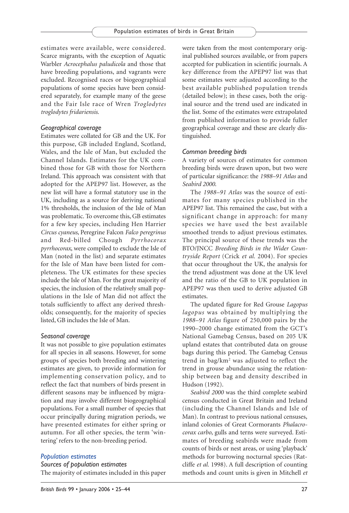estimates were available, were considered. Scarce migrants, with the exception of Aquatic Warbler *Acrocephalus paludicola* and those that have breeding populations, and vagrants were excluded. Recognised races or biogeographical populations of some species have been considered separately, for example many of the geese and the Fair Isle race of Wren *Troglodytes troglodytes fridariensis*.

## *Geographical coverage*

Estimates were collated for GB and the UK. For this purpose, GB included England, Scotland, Wales, and the Isle of Man, but excluded the Channel Islands. Estimates for the UK combined those for GB with those for Northern Ireland. This approach was consistent with that adopted for the APEP97 list. However, as the new list will have a formal statutory use in the UK, including as a source for deriving national 1% thresholds, the inclusion of the Isle of Man was problematic. To overcome this, GB estimates for a few key species, including Hen Harrier *Circus cyaneus*, Peregrine Falcon *Falco peregrinus* and Red-billed Chough *Pyrrhocorax pyrrhocorax*, were compiled to exclude the Isle of Man (noted in the list) and separate estimates for the Isle of Man have been listed for completeness. The UK estimates for these species include the Isle of Man. For the great majority of species, the inclusion of the relatively small populations in the Isle of Man did not affect the totals sufficiently to affect any derived thresholds; consequently, for the majority of species listed, GB includes the Isle of Man.

## *Seasonal coverage*

It was not possible to give population estimates for all species in all seasons. However, for some groups of species both breeding and wintering estimates are given, to provide information for implementing conservation policy, and to reflect the fact that numbers of birds present in different seasons may be influenced by migration and may involve different biogeographical populations. For a small number of species that occur principally during migration periods, we have presented estimates for either spring or autumn. For all other species, the term 'wintering' refers to the non-breeding period.

## *Population estimates*

### *Sources of population estimates*

The majority of estimates included in this paper

were taken from the most contemporary original published sources available, or from papers accepted for publication in scientific journals. A key difference from the APEP97 list was that some estimates were adjusted according to the best available published population trends (detailed below); in these cases, both the original source and the trend used are indicated in the list. Some of the estimates were extrapolated from published information to provide fuller geographical coverage and these are clearly distinguished.

## *Common breeding birds*

A variety of sources of estimates for common breeding birds were drawn upon, but two were of particular significance: the *1988–91 Atlas* and *Seabird 2000*.

The *1988–91 Atlas* was the source of estimates for many species published in the APEP97 list. This remained the case, but with a significant change in approach: for many species we have used the best available smoothed trends to adjust previous estimates. The principal source of these trends was the BTO/JNCC *Breeding Birds in the Wider Countryside Report* (Crick *et al.* 2004). For species that occur throughout the UK, the analysis for the trend adjustment was done at the UK level and the ratio of the GB to UK population in APEP97 was then used to derive adjusted GB estimates.

The updated figure for Red Grouse *Lagopus lagopus* was obtained by multiplying the *1988–91 Atlas* figure of 250,000 pairs by the 1990–2000 change estimated from the GCT's National Gamebag Census, based on 205 UK upland estates that contributed data on grouse bags during this period. The Gamebag Census trend in bag/km2 was adjusted to reflect the trend in grouse abundance using the relationship between bag and density described in Hudson (1992).

*Seabird 2000* was the third complete seabird census conducted in Great Britain and Ireland (including the Channel Islands and Isle of Man). In contrast to previous national censuses, inland colonies of Great Cormorants *Phalacrocorax carbo*, gulls and terns were surveyed. Estimates of breeding seabirds were made from counts of birds or nest areas, or using 'playback' methods for burrowing nocturnal species (Ratcliffe *et al.* 1998). A full description of counting methods and count units is given in Mitchell *et*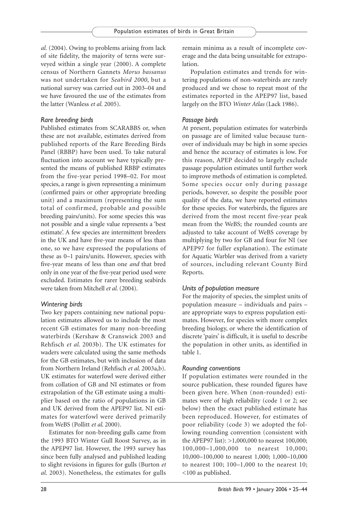*al.* (2004). Owing to problems arising from lack of site fidelity, the majority of terns were surveyed within a single year (2000). A complete census of Northern Gannets *Morus bassanus* was not undertaken for *Seabird 2000*, but a national survey was carried out in 2003–04 and we have favoured the use of the estimates from the latter (Wanless *et al.* 2005).

## *Rare breeding birds*

Published estimates from SCARABBS or, when these are not available, estimates derived from published reports of the Rare Breeding Birds Panel (RBBP) have been used. To take natural fluctuation into account we have typically presented the means of published RBBP estimates from the five-year period 1998–02. For most species, a range is given representing a minimum (confirmed pairs or other appropriate breeding unit) and a maximum (representing the sum total of confirmed, probable and possible breeding pairs/units). For some species this was not possible and a single value represents a 'best estimate'. A few species are intermittent breeders in the UK and have five-year means of less than one, so we have expressed the populations of these as 0–1 pairs/units. However, species with five-year means of less than one *and* that bred only in one year of the five-year period used were excluded. Estimates for rarer breeding seabirds were taken from Mitchell *et al.* (2004).

## *Wintering birds*

Two key papers containing new national population estimates allowed us to include the most recent GB estimates for many non-breeding waterbirds (Kershaw & Cranswick 2003 and Rehfisch *et al*. 2003b). The UK estimates for waders were calculated using the same methods for the GB estimates, but with inclusion of data from Northern Ireland (Rehfisch *et al*. 2003a,b). UK estimates for waterfowl were derived either from collation of GB and NI estimates or from extrapolation of the GB estimate using a multiplier based on the ratio of populations in GB and UK derived from the APEP97 list. NI estimates for waterfowl were derived primarily from WeBS (Pollitt *et al*. 2000).

Estimates for non-breeding gulls came from the 1993 BTO Winter Gull Roost Survey, as in the APEP97 list. However, the 1993 survey has since been fully analysed and published leading to slight revisions in figures for gulls (Burton *et al*. 2003). Nonetheless, the estimates for gulls

remain minima as a result of incomplete coverage and the data being unsuitable for extrapolation.

Population estimates and trends for wintering populations of non-waterbirds are rarely produced and we chose to repeat most of the estimates reported in the APEP97 list, based largely on the BTO *Winter Atlas* (Lack 1986).

## *Passage birds*

At present, population estimates for waterbirds on passage are of limited value because turnover of individuals may be high in some species and hence the accuracy of estimates is low. For this reason, APEP decided to largely exclude passage population estimates until further work to improve methods of estimation is completed. Some species occur only during passage periods, however, so despite the possible poor quality of the data, we have reported estimates for these species. For waterbirds, the figures are derived from the most recent five-year peak mean from the WeBS; the rounded counts are adjusted to take account of WeBS coverage by multiplying by two for GB and four for NI (see APEP97 for fuller explanation). The estimate for Aquatic Warbler was derived from a variety of sources, including relevant County Bird Reports.

## *Units of population measure*

For the majority of species, the simplest units of population measure – individuals and pairs – are appropriate ways to express population estimates. However, for species with more complex breeding biology, or where the identification of discrete 'pairs' is difficult, it is useful to describe the population in other units, as identified in table 1.

## *Rounding conventions*

If population estimates were rounded in the source publication, these rounded figures have been given here. When (non-rounded) estimates were of high reliability (code 1 or 2; see below) then the exact published estimate has been reproduced. However, for estimates of poor reliability (code 3) we adopted the following rounding convention (consistent with the APEP97 list): >1,000,000 to nearest 100,000; 100,000–1,000,000 to nearest 10,000; 10,000–100,000 to nearest 1,000; 1,000–10,000 to nearest 100; 100–1,000 to the nearest 10; <100 as published.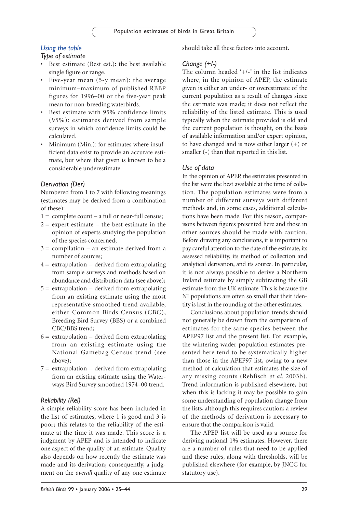# *Using the table*

# *Type of estimate*

- Best estimate (Best est.): the best available single figure or range.
- Five-year mean (5-y mean): the average minimum–maximum of published RBBP figures for 1996–00 or the five-year peak mean for non-breeding waterbirds.
- Best estimate with 95% confidence limits (95%): estimates derived from sample surveys in which confidence limits could be calculated.
- Minimum (Min.): for estimates where insufficient data exist to provide an accurate estimate, but where that given is known to be a considerable underestimate.

## *Derivation (Der)*

Numbered from 1 to 7 with following meanings (estimates may be derived from a combination of these):

- $1 =$  complete count a full or near-full census;
- $2 =$  expert estimate the best estimate in the opinion of experts studying the population of the species concerned;
- $3 =$  compilation an estimate derived from a number of sources;
- $4 =$  extrapolation derived from extrapolating from sample surveys and methods based on abundance and distribution data (see above);
- $5 =$  extrapolation derived from extrapolating from an existing estimate using the most representative smoothed trend available; either Common Birds Census (CBC), Breeding Bird Survey (BBS) or a combined CBC/BBS trend;
- $6 =$  extrapolation derived from extrapolating from an existing estimate using the National Gamebag Census trend (see above);
- $7 =$  extrapolation derived from extrapolating from an existing estimate using the Waterways Bird Survey smoothed 1974–00 trend.

## *Reliability (Rel)*

A simple reliability score has been included in the list of estimates, where 1 is good and 3 is poor; this relates to the reliability of the estimate at the time it was made. This score is a judgment by APEP and is intended to indicate one aspect of the quality of an estimate. Quality also depends on how recently the estimate was made and its derivation; consequently, a judgment on the *overall* quality of any one estimate should take all these factors into account.

## *Change (+/-)*

The column headed '+/-' in the list indicates where, in the opinion of APEP, the estimate given is either an under- or overestimate of the current population as a result of changes since the estimate was made; it does not reflect the reliability of the listed estimate. This is used typically when the estimate provided is old and the current population is thought, on the basis of available information and/or expert opinion, to have changed and is now either larger (+) or smaller (-) than that reported in this list.

## *Use of data*

In the opinion of APEP, the estimates presented in the list were the best available at the time of collation. The population estimates were from a number of different surveys with different methods and, in some cases, additional calculations have been made. For this reason, comparisons between figures presented here and those in other sources should be made with caution. Before drawing any conclusions, it is important to pay careful attention to the date of the estimate, its assessed reliability, its method of collection and analytical derivation, and its source. In particular, it is not always possible to derive a Northern Ireland estimate by simply subtracting the GB estimate from the UK estimate. This is because the NI populations are often so small that their identity is lost in the rounding of the other estimates.

Conclusions about population trends should not generally be drawn from the comparison of estimates for the same species between the APEP97 list and the present list. For example, the wintering wader population estimates presented here tend to be systematically higher than those in the APEP97 list, owing to a new method of calculation that estimates the size of any missing counts (Rehfisch *et al.* 2003b). Trend information is published elsewhere, but when this is lacking it may be possible to gain some understanding of population change from the lists, although this requires caution; a review of the methods of derivation is necessary to ensure that the comparison is valid.

The APEP list will be used as a source for deriving national 1% estimates. However, there are a number of rules that need to be applied and these rules, along with thresholds, will be published elsewhere (for example, by JNCC for statutory use).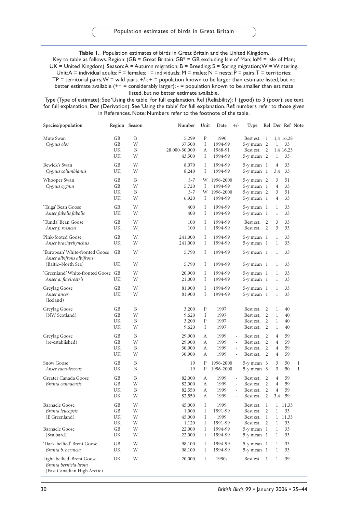**Table 1.** Population estimates of birds in Great Britain and the United Kingdom.

Key to table as follows. Region: (GB = Great Britain; GB\* = GB excluding Isle of Man; IoM = Isle of Man; UK = United Kingdom). Season: A = Autumn migration; B = Breeding; S = Spring migration; W = Wintering. Unit: A = individual adults; F = females; I = individuals; M = males; N = nests; P = pairs; T = territories;  $TP =$  territorial pairs; W = wild pairs.  $+/- +$  = population known to be larger than estimate listed, but no better estimate available (++ = considerably larger); - = population known to be smaller than estimate listed, but no better estimate available.

Type (Type of estimate): See 'Using the table' for full explanation. Rel (Reliability): 1 (good) to 3 (poor); see text for full explanation. Der (Derivation): See 'Using the table' for full explanation. Ref: numbers refer to those given in References. Note: Numbers refer to the footnote of the table.

| Species/population                 |           | Region Season | Number        | Unit         | Date<br>$+/-$ | Type           |                |                | Rel Der Ref Note |              |
|------------------------------------|-----------|---------------|---------------|--------------|---------------|----------------|----------------|----------------|------------------|--------------|
| Mute Swan                          | GB        | B             | 5,299         | ${\bf P}$    | 1990          | Best est.      | <sup>1</sup>   |                | 1,4 16,28        |              |
|                                    |           | W             |               |              |               |                |                |                |                  |              |
| Cygnus olor                        | <b>GB</b> |               | 37,500        | I            | 1994-99       | 5-y mean 2     |                | $\mathbf{1}$   | 33               |              |
|                                    | UK        | B             | 28,000-30,000 | А            | 1988-91       | Best est.      | $\overline{2}$ |                | 1,4 16,23        |              |
|                                    | UK        | W             | 43,500        | Ι            | 1994-99       | 5-y mean 2     |                | $\mathbf{1}$   | 33               |              |
| Bewick's Swan                      | GB        | W             | 8,070         | I            | 1994-99       | $5-y$ mean $1$ |                | $\overline{4}$ | 33               |              |
| Cygnus columbianus                 | UK        | W             | 8,240         | I            | 1994-99       | $5-y$ mean $1$ |                | 3,4            | 33               |              |
|                                    | <b>GB</b> | B             | $3 - 7$       | W            | 1996-2000     |                |                | 3              | 51               |              |
| Whooper Swan                       | GB        | W             |               |              | 1994-99       | 5-y mean 2     |                | $\overline{4}$ | 33               |              |
| Cygnus cygnus                      |           |               | 5,720         | I            |               | 5-y mean 1     |                |                |                  |              |
|                                    | UK        | B             | $3 - 7$       |              | W 1996-2000   | 5-y mean 2     |                | 3              | 51               |              |
|                                    | UK        | W             | 6,920         | Ι            | 1994-99       | $5-y$ mean $1$ |                | $\overline{4}$ | 33               |              |
| 'Taiga' Bean Goose                 | GB        | W             | 400           | I            | 1994-99       | $5-y$ mean $1$ |                | 1              | 33               |              |
| Anser fabalis fabalis              | UK        | W             | 400           | Ι            | 1994-99       | $5-y$ mean $1$ |                | 1              | 33               |              |
|                                    | GB        | W             |               | I            | 1994-99       |                | $\overline{2}$ | 3              | 33               |              |
| 'Tunda' Bean Goose                 |           |               | 100           |              |               | Best est.      |                |                |                  |              |
| Anser f. rossicus                  | UK        | W             | 100           | I            | 1994-99       | Best est.      | 2              | 3              | 33               |              |
| Pink-footed Goose                  | GB        | W             | 241,000       | I            | 1994-99       | 5-y mean 1     |                | $\mathbf{1}$   | 33               |              |
| Anser brachyrhynchus               | UK        | W             | 241,000       | I            | 1994-99       | $5-y$ mean $1$ |                | $\mathbf{1}$   | 33               |              |
| 'European' White-fronted Goose     | GВ        | W             | 5,790         | I            | 1994-99       | $5-y$ mean $1$ |                | $\mathbf{1}$   | 33               |              |
| Anser albifrons albifrons          |           |               |               |              |               |                |                |                |                  |              |
| (Baltic-North Sea)                 | UK        | W             | 5,790         | I            | 1994-99       | $5-y$ mean $1$ |                | $\mathbf{1}$   | 33               |              |
|                                    |           |               |               |              |               |                |                |                |                  |              |
| 'Greenland' White-fronted Goose GB |           | W             | 20,900        | I            | 1994-99       | 5-y mean 1     |                | $\mathbf{1}$   | 33               |              |
| Anser a. flavirostris              | UK        | W             | 21,000        | Ι            | 1994-99       | $5-y$ mean $1$ |                | $\mathbf{1}$   | 33               |              |
| Greylag Goose                      | GB        | W             | 81,900        | I            | 1994-99       | $5-y$ mean $1$ |                | $\mathbf{1}$   | 33               |              |
| Anser anser                        | UK        | W             | 81,900        | I            | 1994-99       | $5-y$ mean $1$ |                | $\,1$          | 33               |              |
| (Iceland)                          |           |               |               |              |               |                |                |                |                  |              |
|                                    | GB        | B             | 3,200         | $\mathbf{P}$ | 1997          | Best est.      | $\overline{2}$ | $\mathbf{1}$   | 40               |              |
| Greylag Goose                      |           |               |               |              |               |                | $\overline{2}$ |                |                  |              |
| (NW Scotland)                      | GB        | W             | 9,620         | Ι            | 1997          | Best est.      |                | $\mathbf{1}$   | 40               |              |
|                                    | UK        | B             | 3,200         | P            | 1997          | Best est.      | $\overline{2}$ | $\mathbf{1}$   | 40               |              |
|                                    | UK        | W             | 9,620         | I            | 1997          | Best est.      | $\overline{2}$ | $\mathbf{1}$   | 40               |              |
| Greylag Goose                      | <b>GB</b> | B             | 29,900        | А            | 1999          | Best est.      | $\overline{2}$ | $\overline{4}$ | 59               |              |
| (re-established)                   | GB        | W             | 29,900        | А            | 1999<br>÷,    | Best est.      | $\overline{c}$ | $\overline{4}$ | 59               |              |
|                                    | UK        | B             | 30,900        | А            | 1999          | Best est.      | $\overline{2}$ | $\overline{4}$ | 59               |              |
|                                    | UK        | W             | 30,900        | А            | 1999          | Best est.      | $\overline{2}$ | $\overline{4}$ | 59               |              |
| Snow Goose                         | GB        | $\, {\bf B}$  | 19            | P            | 1996-2000     | 5-y mean 3     |                | 3              | 50               | $\mathbf{1}$ |
| Anser caerulescens                 | UK        | $\, {\bf B}$  | 19            | ${\bf P}$    | 1996-2000     | 5-y mean 3     |                | 3              | 50               | $\mathbf{1}$ |
|                                    |           |               |               |              |               |                |                |                |                  |              |
| Greater Canada Goose               | GB        | B             | 82,000        | А            | 1999          | Best est.      | $\overline{c}$ | $\overline{4}$ | 59               |              |
| Branta canadensis                  | GB        | W             | 82,000        | А            | 1999          | Best est.      | $\overline{2}$ | $\overline{4}$ | 59               |              |
|                                    | UK        | B             | 82,550        | А            | 1999          | Best est.      | $\overline{2}$ | $\overline{4}$ | 59               |              |
|                                    | UK        | W             | 82,550        | А            | 1999<br>÷,    | Best est.      | $\overline{2}$ | 3,4            | 59               |              |
| <b>Barnacle Goose</b>              | GB        | W             | 45,000        | I            | 1999          | Best est.      | $\mathbf{1}$   |                | 1 11,33          |              |
| Branta leucopsis                   | GB        | W             | 1,000         | I            | 1991-99       | Best est.      | $\overline{c}$ | $\mathbf{1}$   | 33               |              |
| (E Greenland)                      | UK        | W             | 45,000        | I            | 1999          | Best est.      | $\mathbf{1}$   | $\mathbf{1}$   | 11,33            |              |
|                                    | UK        | W             | 1,120         | Ι            | 1991-99       | Best est.      | $\overline{2}$ | $\mathbf{1}$   | 33               |              |
| <b>Barnacle Goose</b>              | GB        | W             | 22,000        | Ι            | 1994-99       | 5-y mean 1     |                | $\mathbf{1}$   | 33               |              |
| (Svalbard)                         | UK        | W             | 22,000        | Ι            | 1994-99       | 5-y mean 1     |                | $\mathbf{1}$   | 33               |              |
|                                    |           |               |               |              |               |                |                |                |                  |              |
| 'Dark-bellied' Brent Goose         | GB        | W             | 98,100        | I            | 1994-99       | $5-y$ mean $1$ |                | $\mathbf{1}$   | 33               |              |
| Branta b. bernicla                 | UK        | W             | 98,100        | I            | 1994-99       | 5-y mean 1     |                | $\mathbf{1}$   | 33               |              |
| Light-bellied' Brent Goose         | UK        | W             | 20,000        | I            | 1990s         | Best est.      | $\overline{1}$ | $\mathbf{1}$   | 39               |              |
| Branta bernicla hrota              |           |               |               |              |               |                |                |                |                  |              |
| (East Canadian High Arctic)        |           |               |               |              |               |                |                |                |                  |              |
|                                    |           |               |               |              |               |                |                |                |                  |              |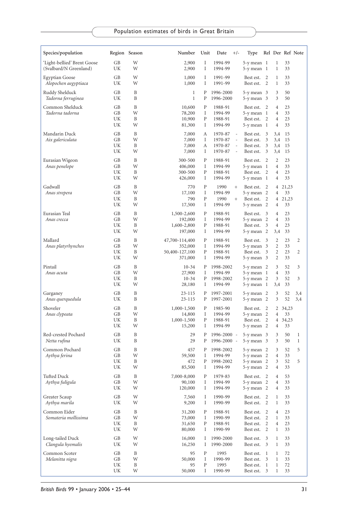| Species/population                                    |                | Region Season | Number                       | Unit           | Date<br>$+/-$                        | Type                                      |                     |                     |                | Rel Der Ref Note |
|-------------------------------------------------------|----------------|---------------|------------------------------|----------------|--------------------------------------|-------------------------------------------|---------------------|---------------------|----------------|------------------|
| 'Light-bellied' Brent Goose<br>(Svalbard/N Greenland) | GВ<br>UΚ       | W<br>W        | 2,900<br>2,900               | Ι<br>Ι         | 1994-99<br>1994-99                   | $5-y$ mean $1$<br>$5-y$ mean $1$          |                     | 1<br>1              | 33<br>33       |                  |
| Egyptian Goose<br>Alopochen aegyptiaca                | GB<br>UK       | W<br>W        | 1,000<br>1,000               | Ι<br>Ι         | 1991-99<br>1991-99                   | Best est.<br>Best est.                    | 2<br>2              | 1<br>1              | 33<br>33       |                  |
| Ruddy Shelduck<br>Tadorna ferruginea                  | GВ<br>UK       | B<br>B        | $\mathbf{1}$<br>$\mathbf{1}$ | P<br>P         | 1996-2000<br>1996-2000               | $5-y$ mean $3$<br>5-y mean 3              |                     | 3<br>3              | 50<br>50       |                  |
| Common Shelduck                                       | GВ             | B             | 10,600                       | P              | 1988-91                              | Best est.                                 | 2                   | 4                   | 23             |                  |
| Tadorna tadorna                                       | GВ<br>UK<br>UK | W<br>B<br>W   | 78,200<br>10,900<br>81,300   | Ι<br>P<br>Ι    | 1994-99<br>1988-91<br>1994-99        | $5-y$ mean $1$<br>Best est.<br>5-y mean 1 | 2                   | 4<br>4<br>4         | 33<br>23<br>33 |                  |
| Mandarin Duck                                         | GВ             | B             | 7,000                        | А              | 1970-87                              | Best est.                                 | 3                   | 3,4                 | 15             |                  |
| Aix galericulata                                      | GВ<br>UK       | W<br>B        | 7,000<br>7,000               | Ι<br>А         | 1970-87<br>$\blacksquare$<br>1970-87 | Best est.<br>Best est.                    | 3<br>3              | 3,4<br>3,4          | 15<br>15       |                  |
|                                                       | UK             | W             | 7,000                        | Ι              | 1970-87                              | Best est.                                 | 3                   | 3,4                 | 15             |                  |
| Eurasian Wigeon<br>Anas penelope                      | GВ<br>GВ       | B<br>W        | 300-500<br>406,000           | ${\bf P}$<br>Ι | 1988-91<br>1994-99                   | Best est.<br>$5-y$ mean $1$               | 2                   | 2<br>$\overline{4}$ | 23<br>33       |                  |
|                                                       | UK             | B             | 300-500                      | ${\bf P}$      | 1988-91                              | Best est.                                 | 2                   | 4                   | 23             |                  |
|                                                       | UK             | W             | 426,000                      | Ι              | 1994-99                              | 5-y mean 1                                |                     | 4                   | 33             |                  |
| Gadwall<br>Anas strepera                              | GВ<br>GВ       | B<br>W        | 770<br>17,100                | P<br>Ι         | 1990<br>$^{+}$<br>1994-99            | Best est.<br>5-y mean                     | 2<br>-2             | 4<br>4              | 21,23<br>33    |                  |
|                                                       | UK             | B             | 790                          | P              | 1990<br>$^{+}$                       | Best est.                                 | 2                   | 4                   | 21,23          |                  |
|                                                       | UK             | W             | 17,500                       | Ι              | 1994-99                              | 5-y mean 2                                |                     | 4                   | 33             |                  |
| Eurasian Teal<br>Anas crecca                          | GB<br>GB       | B<br>W        | 1,500-2,600<br>192,000       | P<br>Ι         | 1988-91<br>1994-99                   | Best est.<br>5-y mean                     | 3<br>-2             | 4<br>4              | 23<br>33       |                  |
|                                                       | UK             | B             | 1,600-2,800                  | P              | 1988-91                              | Best est.                                 | 3                   | 4                   | 23             |                  |
|                                                       | UK             | W             | 197,000                      | Ι              | 1994-99                              | 5-y mean 2                                |                     | 3,4                 | 33             |                  |
| Mallard<br>Anas platyrhynchos                         | GB<br>GВ       | B<br>W        | 47,700-114,400<br>352,000    | P<br>Ι         | 1988-91<br>1994-99                   | Best est.<br>5-y mean                     | 3<br>3              | 2<br>2              | 23<br>33       | 2                |
|                                                       | UK             | B             | 50,400-127,100               | P              | 1988-91                              | Best est.                                 | 3                   | 2                   | 23             | 2                |
|                                                       | UK             | W             | 371,000                      | Ι              | 1994-99                              | 5-y mean 3                                |                     | 2                   | 33             |                  |
| Pintail                                               | GB             | B             | $10-34$                      | Ρ              | 1998-2002                            | $5-y$ mean $2$                            |                     | 3                   | 52             | 3                |
| Anas acuta                                            | GВ<br>UK       | W<br>B        | 27,900<br>10-34              | I<br>P         | 1994-99<br>1998-2002                 | 5-y mean<br>$5-y$ mean $2$                | - 1                 | 4<br>3              | 33<br>52       | 3                |
|                                                       | UK             | W             | 28,180                       | Ι              | 1994-99                              | $5-y$ mean $1$                            |                     | 3,4                 | 33             |                  |
| Garganey                                              | GВ             | B             | 23-115                       | Ρ              | 1997-2001                            | 5-y mean 2                                |                     | 3                   | 52             | 3,4              |
| Anas querquedula                                      | UK             | B             | 23-115                       | Ρ              | 1997-2001                            | 5-y mean 2                                |                     | 3                   | 52             | 3,4              |
| Shoveler<br>Anas clypeata                             | GВ<br>GВ       | B<br>W        | 1,000-1,500<br>14,800        | P<br>Ι         | 1985-90<br>1994-99                   | Best est.<br>5-y mean                     | 2<br>$\overline{2}$ | 4                   | 2 34,23<br>33  |                  |
|                                                       | UK             | B             | 1,000-1,500                  | ${\bf P}$      | 1988-91                              | Best est.                                 | 2                   | 4                   | 34,23          |                  |
|                                                       | UK             | W             | 15,200                       | I              | 1994-99                              | $5-y$ mean $2$                            |                     | 4                   | 33             |                  |
| Red-crested Pochard                                   | GВ             | B<br>B        | 29                           | Ρ              | 1996-2000 -                          | $5-y$ mean $3$                            |                     | 3                   | 50             | $\mathbf{1}$     |
| Netta rufina<br>Common Pochard                        | UK             | B             | 29                           | Ρ<br>P         | 1996-2000 -<br>1998-2002             | 5-y mean                                  | - 3                 | 3                   | 50             | 1<br>5           |
| Aythya ferina                                         | GВ<br>GВ       | W             | 457<br>59,500                | I              | 1994-99                              | $5-y$ mean $2$<br>5-y mean                | -2                  | 3<br>4              | 52<br>33       |                  |
|                                                       | UK             | B             | 472                          | Ρ              | 1998-2002                            | 5-y mean 2                                |                     | 3                   | 52             | 5                |
|                                                       | UK             | W             | 85,500                       | Ι              | 1994-99                              | 5-y mean 2                                |                     | 4                   | 33             |                  |
| Tufted Duck<br>Aythya fuligula                        | GB<br>GB       | B<br>W        | 7,000-8,000<br>90,100        | P<br>I         | 1979-83<br>1994-99                   | Best est.<br>5-y mean 2                   | $\overline{2}$      | $\overline{4}$<br>4 | 53<br>33       |                  |
|                                                       | UK             | W             | 120,000                      | I              | 1994-99                              | 5-y mean 2                                |                     | $\overline{4}$      | 33             |                  |
| Greater Scaup                                         | GB             | W             | 7,560                        | Ι              | 1990-99                              | Best est.                                 | 2                   | $\mathbf{1}$        | 33             |                  |
| Aythya marila                                         | UΚ             | W             | 9,200                        | Ι              | 1990-99                              | Best est.                                 | 2                   | 1                   | 33             |                  |
| Common Eider                                          | GB             | B             | 31,200                       | P              | 1988-91                              | Best est.                                 | $\overline{2}$      | 4                   | 23             |                  |
| Somateria mollissima                                  | GB<br>UK       | W<br>B        | 73,000<br>31,650             | I<br>P         | 1990-99<br>1988-91                   | Best est.<br>Best est.                    | 2<br>2              | $\mathbf{1}$<br>4   | 33<br>23       |                  |
|                                                       | UK             | W             | 80,000                       | I              | 1990-99                              | Best est.                                 | 2                   | 1                   | 33             |                  |
| Long-tailed Duck                                      | GB             | W             | 16,000                       | Ι              | 1990-2000                            | Best est.                                 | 3                   | $\mathbf{1}$        | 33             |                  |
| Clangula hyemalis                                     | UK             | W             | 16,250                       | I              | 1990-2000                            | Best est.                                 | 3                   | $\mathbf{1}$        | 33             |                  |
| Common Scoter                                         | GB             | B             | 95                           | ${\bf P}$      | 1995                                 | Best est.                                 | -1                  | $\mathbf{1}$        | 72             |                  |
| Melanitta nigra                                       | GВ<br>UK       | W<br>B        | 50,000<br>95                 | Ι<br>P         | 1990-99<br>1995                      | Best est.<br>Best est.                    | 3<br>1              | 1<br>$\mathbf{1}$   | 33<br>72       |                  |
|                                                       | UK             | W             | 50,000                       | Ι              | 1990-99                              | Best est.                                 | 3                   | $\mathbf{1}$        | 33             |                  |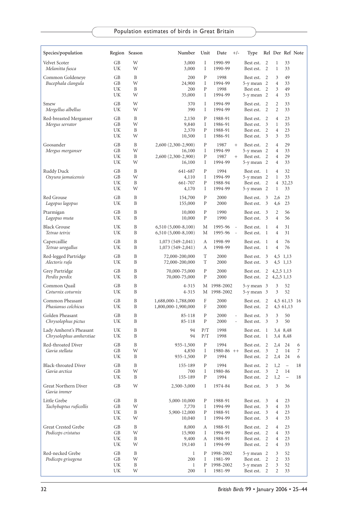| Species/population                                 |                      | Region Season    | Number                                                         | Unit             | Date<br>$+/-$                                                    | Type                                                   |                              |                                          |                                                     | Rel Der Ref Note |
|----------------------------------------------------|----------------------|------------------|----------------------------------------------------------------|------------------|------------------------------------------------------------------|--------------------------------------------------------|------------------------------|------------------------------------------|-----------------------------------------------------|------------------|
| Velvet Scoter<br>Melanitta fusca                   | GB<br>UK             | W<br>W           | 3,000<br>3,000                                                 | I<br>I           | 1990-99<br>1990-99                                               | Best est.<br>Best est.                                 | 2<br>2                       | $\mathbf{1}$<br>1                        | 33<br>33                                            |                  |
| Common Goldeneye<br>Bucephala clangula             | GB<br>GВ<br>UK<br>UK | B<br>W<br>B<br>W | 200<br>24,900<br>200<br>35,000                                 | P<br>I<br>P<br>Ι | 1998<br>1994-99<br>1998<br>1994-99                               | Best est.<br>5-y mean 2<br>Best est.<br>5-y mean 2     | 2<br>2                       | 3<br>$\overline{4}$<br>3<br>4            | 49<br>33<br>49<br>33                                |                  |
| Smew<br>Mergellus albellus                         | GB<br>UK             | W<br>W           | 370<br>390                                                     | Ι<br>Ι           | 1994-99<br>1994-99                                               | Best est.<br>Best est.                                 | 2<br>2                       | $\overline{2}$<br>$\overline{2}$         | 33<br>33                                            |                  |
| Red-breasted Merganser<br>Mergus serrator          | GB<br>GВ<br>UK<br>UK | B<br>W<br>B<br>W | 2,150<br>9,840<br>2,370<br>10,500                              | P<br>Ι<br>P<br>Ι | 1988-91<br>1986-91<br>1988-91<br>1986-91                         | Best est.<br>Best est.<br>Best est.<br>Best est.       | 2<br>3<br>2<br>3             | 4<br>$\mathbf{1}$<br>$\overline{4}$<br>3 | 23<br>35<br>23<br>35                                |                  |
| Goosander<br>Mergus merganser                      | GB<br>GB<br>UK<br>UK | B<br>W<br>B<br>W | 2,600 (2,300-2,900)<br>16,100<br>2,600 (2,300-2,900)<br>16,100 | P<br>Ι<br>P<br>Ι | 1987<br>$^{+}$<br>1994-99<br>1987<br>$^{+}$<br>1994-99           | Best est.<br>5-y mean 2<br>Best est.<br>5-y mean 2     | 2<br>2                       | 4<br>4<br>$\overline{4}$<br>4            | 29<br>33<br>29<br>33                                |                  |
| Ruddy Duck<br>Oxyura jamaicensis                   | GB<br>GB<br>UK<br>UK | B<br>W<br>B<br>W | 641-687<br>4,110<br>661-707<br>4,170                           | P<br>Ι<br>P<br>Ι | 1994<br>1994-99<br>1988-94<br>1994-99                            | Best est.<br>5-y mean 2<br>Best est.<br>5-y mean 2     | -1<br>2                      | $\overline{4}$<br>1<br>4<br>$\mathbf{1}$ | 32<br>33<br>32,23<br>33                             |                  |
| Red Grouse<br>Lagopus lagopus                      | GB<br>UK             | B<br>B           | 154,700<br>155,000                                             | P<br>Ρ           | 2000<br>2000                                                     | Best est.<br>Best est.                                 | 3<br>3                       | 2,6<br>4,6                               | 23<br>23                                            |                  |
| Ptarmigan<br>Lagopus muta                          | GВ<br>UK             | B<br>B           | 10,000<br>10,000                                               | P<br>P           | 1990<br>1990                                                     | Best est.<br>Best est.                                 | 3<br>3                       | 2<br>$\overline{4}$                      | 56<br>56                                            |                  |
| Black Grouse<br>Tetrao tetrix                      | UK<br>UK             | B<br>B           | $6,510(5,000-8,100)$<br>$6,510(5,000-8,100)$                   | М<br>М           | 1995-96<br>$\overline{\phantom{a}}$<br>1995-96<br>$\blacksquare$ | Best est.<br>Best est.                                 | 1<br>1                       | $\overline{4}$<br>$\overline{4}$         | 31<br>31                                            |                  |
| Capercaillie<br>Tetrao urogallus                   | GB<br>UK             | B<br>B           | $1,073(549-2,041)$<br>1,073 (549-2,041)                        | А<br>А           | 1998-99<br>1998-99                                               | Best est.<br>Best est.                                 | 1<br>1                       | $\overline{4}$<br>$\overline{4}$         | 76<br>76                                            |                  |
| Red-legged Partridge<br>Alectoris rufa             | GB<br>UK             | B<br>B           | 72,000-200,000<br>72,000-200,000                               | T<br>T           | 2000<br>2000                                                     | Best est.<br>Best est.                                 | 3<br>3                       |                                          | 4,5 1,13<br>4,5 1,13                                |                  |
| Grey Partridge<br>Perdix perdix                    | GB<br>UK             | B<br>B           | 70,000-75,000<br>70,000-75,000                                 | P<br>P           | 2000<br>2000                                                     | Best est.<br>Best est.                                 | $\overline{2}$<br>2          | 4, 2, 5 1, 13                            | 4, 2, 5 1, 13                                       |                  |
| Common Quail<br>Coturnix coturnix                  | GB<br>UK             | B<br>B           | 4-315<br>$4 - 315$                                             | М                | M 1998-2002<br>1998-2002                                         | 5-y mean 3<br>5-y mean 3                               |                              | 3<br>3                                   | 52<br>52                                            |                  |
| Common Pheasant<br>Phasianus colchicus             | GB<br>UK             | B<br>B           | 1,688,000-1,788,000<br>1,800,000-1,900,000                     | F<br>F           | 2000<br>2000                                                     | Best est.<br>Best est.                                 | 2<br>2                       |                                          | 4,5 61,13 16<br>4,5 61,13                           |                  |
| Golden Pheasant<br>Chrysolophus pictus             | GВ<br>UK             | B<br>B           | 85-118<br>85-118                                               | Р<br>Ρ           | 2000<br>÷,<br>2000<br>$\overline{\phantom{a}}$                   | Best est.<br>Best est.                                 | 3<br>3                       | 3<br>3                                   | 50<br>50                                            |                  |
| Lady Amherst's Pheasant<br>Chrysolophus amherstiae | UK<br>UK             | B<br>B           | 94<br>94                                                       | P/T<br>P/T       | 1998<br>1998                                                     | Best est.<br>Best est.                                 | $\mathbf{1}$<br>$\mathbf{1}$ |                                          | 3,4 8,48<br>3,4 8,48                                |                  |
| Red-throated Diver<br>Gavia stellata               | GB<br>GВ<br>UK       | B<br>W<br>B      | 935-1,500<br>4,850<br>935-1,500                                | Ρ<br>Ι<br>P      | 1994<br>$1980-86$ ++<br>1994                                     | Best est.<br>Best est.<br>Best est.                    | 2<br>3<br>2                  | 2,4<br>2<br>2,4                          | 24<br>14<br>24                                      | 6<br>7<br>6      |
| Black-throated Diver<br>Gavia arctica              | GВ<br>GВ<br>UK       | B<br>W<br>B      | 155-189<br>700<br>155-189                                      | Р<br>I<br>Ρ      | 1994<br>1980-86<br>1994                                          | Best est.<br>Best est.<br>Best est. 2                  | 2<br>3                       | 1,2<br>2<br>1,2                          | $\qquad \qquad -$<br>14<br>$\overline{\phantom{a}}$ | 18<br>18         |
| Great Northern Diver<br>Gavia immer                | GB                   | W                | 2,500-3,000                                                    | Ι                | 1974-84                                                          | Best est. 3                                            |                              | 3                                        | 36                                                  |                  |
| Little Grebe<br>Tachybaptus ruficollis             | GB<br>GB<br>UΚ<br>UK | B<br>W<br>B<br>W | 5,000-10,000<br>7,770<br>5,900-12,000<br>10,040                | Ρ<br>I<br>Ρ<br>Ι | 1988-91<br>1994-99<br>1988-91<br>1994-99                         | Best est.<br>Best est.<br>Best est.<br>Best est.       | 3<br>3<br>3<br>3             | 4<br>4<br>4<br>4                         | 23<br>33<br>23<br>33                                |                  |
| Great Crested Grebe<br>Podiceps cristatus          | GB<br>GB<br>UK<br>UΚ | B<br>W<br>B<br>W | 8,000<br>15,900<br>9,400<br>19,140                             | А<br>Ι<br>А<br>Ι | 1988-91<br>1994-99<br>1988-91<br>1994-99                         | Best est.<br>Best est.<br>Best est.<br>Best est.       | 2<br>2<br>2<br>2             | 4<br>4<br>$\overline{4}$<br>4            | 23<br>33<br>23<br>33                                |                  |
| Red-necked Grebe<br>Podiceps grisegena             | GB<br>GB<br>UK<br>UK | B<br>W<br>B<br>W | $\mathbf{1}$<br>200<br>1<br>200                                | Ρ<br>Ι<br>Ρ<br>I | 1998-2002<br>1981-99<br>1998-2002<br>1981-99                     | $5-y$ mean $2$<br>Best est.<br>5-y mean 2<br>Best est. | 2<br>2                       | 3<br>2<br>3<br>2                         | 52<br>33<br>52<br>33                                |                  |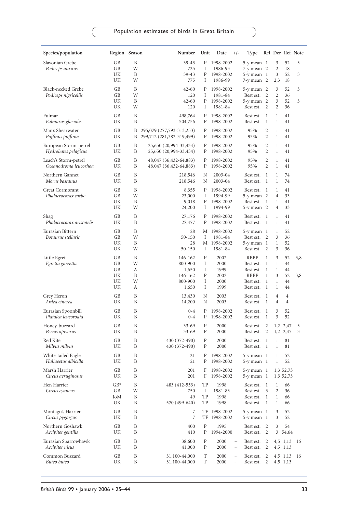| Species/population                            | Region Season                    |                            | Number                                                     | Unit                                  | Date<br>$+/-$                                                                        | Type                                                             |                                                  |                                                                        |                                  | Rel Der Ref Note |
|-----------------------------------------------|----------------------------------|----------------------------|------------------------------------------------------------|---------------------------------------|--------------------------------------------------------------------------------------|------------------------------------------------------------------|--------------------------------------------------|------------------------------------------------------------------------|----------------------------------|------------------|
| Slavonian Grebe<br>Podiceps auritus           | GВ<br>GB<br>UK<br>UK             | B<br>W<br>B<br>W           | $39 - 43$<br>725<br>39-43<br>775                           | Ρ<br>Ι<br>Ρ<br>Ι                      | 1998-2002<br>1986-93<br>1998-2002<br>1986-99                                         | 5-y mean 1<br>7-y mean 2<br>5-y mean 1<br>7-y mean 2             |                                                  | 3<br>2<br>3<br>2,3                                                     | 52<br>18<br>52<br>18             | 3<br>3           |
| Black-necked Grebe<br>Podiceps nigricollis    | GВ<br>GB<br>UK<br>UK             | B<br>W<br>B<br>W           | $42 - 60$<br>120<br>$42 - 60$<br>120                       | P<br>Ι<br>Ρ<br>Ι                      | 1998-2002<br>1981-84<br>1998-2002<br>1981-84                                         | 5-y mean 2<br>Best est.<br>$5-y$ mean $2$<br>Best est.           | 2<br>2                                           | 3<br>$\overline{c}$<br>3<br>$\overline{2}$                             | 52<br>36<br>52<br>36             | 3<br>3           |
| Fulmar<br>Fulmarus glacialis                  | GB<br>UK                         | B<br>B                     | 498,764<br>504,756                                         | Ρ<br>P                                | 1998-2002<br>1998-2002                                                               | Best est.<br>Best est.                                           | 1<br>$\mathbf{1}$                                | 1<br>$\mathbf{1}$                                                      | 41<br>41                         |                  |
| Manx Shearwater<br>Puffinus puffinus          | GB<br>UK                         | B<br>B                     | 295,079 (277,793-313,253)<br>299,712 (281,382-319,499)     | Ρ<br>Ρ                                | 1998-2002<br>1998-2002                                                               | 95%<br>95%                                                       | 2<br>2                                           | $\mathbf{1}$<br>$\mathbf{1}$                                           | 41<br>41                         |                  |
| European Storm-petrel<br>Hydrobates pelagicus | GB<br>UK                         | B<br>B                     | 25,650 (20,994-33,434)<br>25,650 (20,994-33,434)           | P<br>P                                | 1998-2002<br>1998-2002                                                               | 95%<br>95%                                                       | 2<br>2                                           | $\mathbf{1}$<br>$\mathbf{1}$                                           | 41<br>41                         |                  |
| Leach's Storm-petrel<br>Oceanodroma leucorhoa | GB<br>UK                         | B<br>B                     | 48,047 (36,432-64,883)<br>48,047 (36,432-64,883)           | Ρ<br>P                                | 1998-2002<br>1998-2002                                                               | 95%<br>95%                                                       | 2<br>2                                           | $\mathbf{1}$<br>$\mathbf{1}$                                           | 41<br>41                         |                  |
| Northern Gannet<br>Morus bassanus             | GB<br>UK                         | B<br>B                     | 218,546<br>218,546                                         | N<br>N                                | 2003-04<br>2003-04                                                                   | Best est.<br>Best est.                                           | $\mathbf{1}$<br>1                                | 1<br>1                                                                 | 74<br>74                         |                  |
| Great Cormorant<br>Phalacrocorax carbo        | GB<br>GB<br>UK<br>UK             | B<br>W<br>B<br>W           | 8,355<br>23,000<br>9,018<br>24,200                         | Ρ<br>Ι<br>Ρ<br>Ι                      | 1998-2002<br>1994-99<br>1998-2002<br>1994-99                                         | Best est.<br>$5-y$ mean $2$<br>Best est.<br>5-y mean 2           | 1<br>-1                                          | 1<br>$\overline{4}$<br>1<br>$\overline{4}$                             | 41<br>33<br>41<br>33             |                  |
| Shag<br>Phalacrocorax aristotelis             | GB<br>UK                         | B<br>B                     | 27,176<br>27,477                                           | Ρ<br>Ρ                                | 1998-2002<br>1998-2002                                                               | Best est.<br>Best est.                                           | -1<br>1                                          | 1<br>1                                                                 | 41<br>41                         |                  |
| Eurasian Bittern<br>Botaurus stellaris        | GB<br>GB<br>UK<br>UK             | B<br>W<br>B<br>W           | 28<br>50-150<br>28<br>$50 - 150$                           | М<br>Ι<br>М<br>Ι                      | 1998-2002<br>1981-84<br>1998-2002<br>1981-84                                         | 5-y mean 1<br>Best est.<br>5-y mean 1<br>Best est.               | 2<br>2                                           | 1<br>3<br>1<br>3                                                       | 52<br>36<br>52<br>36             |                  |
| Little Egret<br>Egretta garzetta              | GB<br>GВ<br>GB<br>UK<br>UK<br>UK | B<br>W<br>А<br>B<br>W<br>А | 146-162<br>800-900<br>1,650<br>146-162<br>800-900<br>1,650 | $\mathbf{P}$<br>Ι<br>I<br>P<br>I<br>I | 2002<br>2000<br>1999<br>2002<br>2000<br>1999                                         | RBBP<br>Best est.<br>Best est.<br>RBBP<br>Best est.<br>Best est. | 1<br>1<br>$\mathbf{1}$<br>1<br>$\mathbf{1}$<br>1 | 3<br>$\mathbf{1}$<br>$\mathbf{1}$<br>3<br>$\mathbf{1}$<br>$\mathbf{1}$ | 52<br>44<br>44<br>52<br>44<br>44 | 3,8<br>3,8       |
| Grey Heron<br>Ardea cinerea                   | GB<br>UK                         | B<br>B                     | 13,430<br>14,200                                           | Ν<br>N                                | 2003<br>2003                                                                         | Best est.<br>Best est.                                           | 1<br>1                                           | $\overline{4}$<br>$\overline{4}$                                       | 4<br>$\overline{4}$              |                  |
| Eurasian Spoonbill<br>Platalea leucorodia     | GB<br>UK                         | B<br>B                     | $0 - 4$<br>$0 - 4$                                         | P<br>Ρ                                | 1998-2002<br>1998-2002                                                               | Best est.<br>Best est.                                           | 1<br>-1                                          | 3<br>3                                                                 | 52<br>52                         |                  |
| Honey-buzzard<br>Pernis apivorus              | GВ<br>UK                         | B<br>B                     | $33 - 69$<br>$33 - 69$                                     | P<br>P                                | 2000<br>2000                                                                         | Best est.<br>Best est.                                           | 2<br>2                                           |                                                                        | 1,2 2,47<br>1,2 2,47             | 3<br>3           |
| Red Kite<br>Milvus milvus                     | GВ<br>UΚ                         | B<br>B                     | 430 (372-490)<br>430 (372-490)                             | P<br>P                                | 2000<br>2000                                                                         | Best est.<br>Best est.                                           | 1<br>- 1                                         | 1<br>1                                                                 | 81<br>81                         |                  |
| White-tailed Eagle<br>Haliaeetus albicilla    | GB<br>UK                         | B<br>B                     | 21<br>21                                                   | Ρ<br>Ρ                                | 1998-2002<br>1998-2002                                                               | 5-y mean 1<br>5-y mean 1                                         |                                                  | 1<br>$\mathbf{1}$                                                      | 52<br>52                         |                  |
| Marsh Harrier<br>Circus aeruginosus           | GB<br>UK                         | B<br>B                     | 201<br>201                                                 | F                                     | F 1998-2002<br>1998-2002                                                             | 5-y mean 1 1,3 52,73<br>5-y mean 1                               |                                                  |                                                                        | 1,3 52,73                        |                  |
| Hen Harrier<br>Circus cyaneus                 | $GB*$<br>GB<br>IоM<br>UK         | B<br>W<br>B<br>Β           | 483 (412-553)<br>750<br>49<br>570 (499-640)                | TP<br>Ι<br>TP<br>TP                   | 1998<br>1981-83<br>1998<br>1998                                                      | Best est. 1<br>Best est. 3<br>Best est. 1<br>Best est. 1         |                                                  | 1<br>$\overline{c}$<br>$\mathbf{1}$<br>$\mathbf{1}$                    | 66<br>36<br>66<br>66             |                  |
| Montagu's Harrier<br>Circus pygargus          | GB<br>UΚ                         | B<br>B                     | 7<br>7                                                     |                                       | TF 1998-2002<br>TF 1998-2002                                                         | 5-y mean 1<br>5-y mean 1                                         |                                                  | 3<br>3                                                                 | 52<br>52                         |                  |
| Northern Goshawk<br>Accipiter gentilis        | GB<br>UK                         | B<br>B                     | 400<br>410                                                 | P<br>Ρ                                | 1995<br>1994-2000                                                                    | Best est. 2<br>Best est. 2                                       |                                                  | 3                                                                      | 54<br>3 54,64                    |                  |
| Eurasian Sparrowhawk<br>Accipiter nisus       | GВ<br>UK                         | B<br>B                     | 38,600<br>41,000                                           | P<br>Ρ                                | 2000<br>$^{+}$<br>2000<br>$^{+}$                                                     | Best est.<br>Best est. 2                                         | 2                                                |                                                                        | 4,5 1,13 16<br>4,5 1,13          |                  |
| Common Buzzard<br>Buteo buteo                 | GВ<br>UK                         | B<br>B                     | 31,100-44,000<br>31,100-44,000                             | T<br>T                                | 2000<br>$\begin{array}{c} + \end{array}$<br>2000<br>$\begin{array}{c} + \end{array}$ | Best est. 2<br>Best est. 2                                       |                                                  |                                                                        | 4,5 1,13 16<br>4,5 1,13          |                  |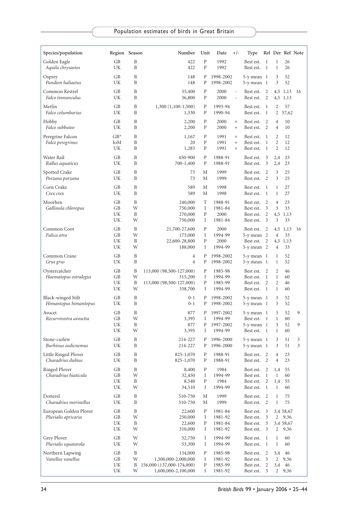| Species/population                            | Region Season        |                             | Number                                                                               | Unit                           | Date<br>$+/-$                                      | Type                                               |                                     |                                            | Rel Der Ref Note                           |        |
|-----------------------------------------------|----------------------|-----------------------------|--------------------------------------------------------------------------------------|--------------------------------|----------------------------------------------------|----------------------------------------------------|-------------------------------------|--------------------------------------------|--------------------------------------------|--------|
| Golden Eagle<br>Aquila chrysaetos             | GВ<br>UK             | B<br>B                      | 422<br>422                                                                           | P<br>P                         | 1992<br>1992                                       | Best est.<br>Best est.                             | 1<br>1                              | $\mathbf{1}$<br>1                          | 26<br>26                                   |        |
| Osprey                                        | GB                   | B                           | 148                                                                                  | P                              | 1998-2002                                          | $5-y$ mean $1$                                     |                                     | 3                                          | 52                                         |        |
| Pandion haliaetus                             | UK                   | B                           | 148                                                                                  | P                              | 1998-2002                                          | $5-y$ mean $1$                                     |                                     | 3                                          | 52                                         |        |
| Common Kestrel<br>Falco tinnunculus           | GB<br>UK             | B<br>B                      | 35,400<br>36,800                                                                     | P<br>P                         | 2000<br>$\bar{\phantom{a}}$<br>2000                | Best est.<br>Best est.                             | $\overline{2}$<br>2                 |                                            | 4,5 1,13<br>4,5 1,13                       | 16     |
| Merlin<br>Falco columbarius                   | GB<br>UK             | B<br>B                      | $1,300$ $(1,100-1,500)$<br>1,330                                                     | P<br>$\, {\bf P}$              | 1993-94<br>1990-94                                 | Best est.<br>Best est.                             | 1<br>1                              | $\overline{2}$                             | 57<br>2 57,62                              |        |
| Hobby<br>Falco subbuteo                       | GB<br>UK             | B<br>B                      | 2,200<br>2,200                                                                       | P<br>P                         | 2000<br>$^{+}$<br>2000<br>$^{+}$                   | Best est.<br>Best est.                             | 2<br>2                              | 4<br>4                                     | 10<br>10                                   |        |
| Peregrine Falcon<br>Falco peregrinus          | $GB*$<br>IoM<br>UK   | B<br>B<br>B                 | 1,167<br>20<br>1,283                                                                 | $\, {\bf P}$<br>P<br>${\bf P}$ | 1991<br>$^{+}$<br>1991<br>$^{+}$<br>1991<br>$^{+}$ | Best est.<br>Best est.<br>Best est.                | -1<br>1<br>1                        | 2<br>2<br>$\overline{2}$                   | 12<br>12<br>12                             |        |
| Water Rail<br>Rallus aquaticus                | GB<br>UK             | B<br>B                      | 450-900<br>700-1,400                                                                 | P<br>P                         | 1988-91<br>1988-91                                 | Best est.<br>Best est.                             | 3<br>3                              | 2,4<br>2,4                                 | 23<br>23                                   |        |
| Spotted Crake<br>Porzana porzana              | GB<br>UK             | B<br>B                      | 73<br>73                                                                             | М<br>М                         | 1999<br>1999                                       | Best est.<br>Best est.                             | 2<br>2                              | 3<br>3                                     | 25<br>25                                   |        |
| Corn Crake<br>Crex crex                       | GB<br>UK             | B<br>B                      | 589<br>589                                                                           | М<br>М                         | 1998<br>1998                                       | Best est.<br>Best est.                             | 1<br>1                              | $\mathbf{1}$<br>1                          | 27<br>27                                   |        |
| Moorhen<br>Gallinula chloropus                | GB<br>GB<br>UK<br>UK | B<br>W<br>B<br>W            | 240,000<br>750,000<br>270,000<br>750,000                                             | T<br>Ι<br>P<br>Ι               | 1988-91<br>1981-84<br>2000<br>1981-84              | Best est.<br>Best est.<br>Best est.<br>Best est.   | 2<br>3<br>2<br>3                    | $\overline{4}$<br>3<br>4,5<br>3            | 23<br>33<br>1,13<br>33                     |        |
| Common Coot<br>Fulica atra                    | GB<br>GB<br>UK<br>UK | B<br>W<br>B<br>W            | 21,700-27,600<br>173,000<br>22,600-28,800<br>188,000                                 | $\mathbf{P}$<br>Ι<br>P<br>Ι    | 2000<br>1994-99<br>2000<br>1994-99                 | Best est.<br>5-y mean 2<br>Best est.<br>5-y mean 2 | 2<br>2                              | $\overline{4}$<br>4                        | 4,5 1,13<br>33<br>4,5 1,13<br>33           | 16     |
| Common Crane<br>Grus grus                     | GВ<br>UK             | B<br>B                      | 4<br>$\overline{4}$                                                                  | P<br>P                         | 1998-2002<br>1998-2002                             | $5-y$ mean $1$<br>5-y mean 1                       |                                     | 1<br>1                                     | 52<br>52                                   |        |
| Oystercatcher<br>Haematopus ostralegus        | GB<br>GB<br>UK<br>UK | B<br>W<br>B<br>W            | 113,000 (98,500-127,000)<br>315,200<br>113,000 (98,500-127,000)<br>338,700           | P<br>Ι<br>P<br>Ι               | 1985-98<br>1994-99<br>1985-99<br>1994-99           | Best est.<br>Best est.<br>Best est.<br>Best est.   | 2<br>1<br>$\overline{2}$<br>-1      | $\overline{2}$<br>1<br>$\overline{2}$<br>1 | 46<br>60<br>46<br>60                       |        |
| Black-winged Stilt<br>Himantopus himantopus   | GB<br>UK             | B<br>B                      | $0 - 1$<br>$0 - 1$                                                                   | Ρ<br>P                         | 1998-2002<br>1998-2002                             | 5-y mean 1<br>5-y mean 1                           |                                     | 3<br>3                                     | 52<br>52                                   |        |
| Avocet<br>Recurvirostra avosetta              | GВ<br>GB<br>UK<br>UK | B<br>W<br>B<br>W            | 877<br>3,395<br>877<br>3,395                                                         | P<br>Ι<br>P<br>Ι               | 1997-2002<br>1994-99<br>1997-2002<br>1994-99       | 5-y mean 1<br>Best est.<br>5-y mean 1<br>Best est. | 1<br>-1                             | 3<br>$\mathbf{1}$<br>3<br>$\mathbf{1}$     | 52<br>60<br>52<br>60                       | 9<br>9 |
| Stone-curlew<br>Burhinus oedicnemus           | GB<br>UK             | B<br>B                      | 214-227<br>214-227                                                                   | P<br>P                         | 1996-2000<br>1996-2000                             | 5-y mean 1<br>5-y mean 1                           |                                     | 3<br>3                                     | 51<br>51                                   | 3<br>3 |
| Little Ringed Plover<br>Charadrius dubius     | GВ<br>UK             | B<br>B                      | 825-1,070<br>825-1,070                                                               | P<br>P                         | 1988-91<br>1988-91                                 | Best est.<br>Best est.                             | 2<br>2                              | $\overline{4}$<br>$\overline{4}$           | 23<br>23                                   |        |
| Ringed Plover<br>Charadrius hiaticula         | GB<br>GB<br>UK<br>UK | Β<br>W<br>B<br>W            | 8,400<br>32,450<br>8,540<br>34,510                                                   | Ρ<br>I<br>P<br>I               | 1984<br>1994-99<br>1984<br>1994-99                 | Best est. 2<br>Best est.<br>Best est.<br>Best est. | $\mathbf{1}$<br>$\overline{c}$<br>1 | 1,4<br>$\mathbf{1}$<br>1,4<br>$\mathbf{1}$ | 55<br>60<br>55<br>60                       |        |
| Dotterel<br>Charadrius morinellus             | GB<br>UK             | B<br>B                      | 510-750<br>510-750                                                                   | М<br>М                         | 1999<br>1999                                       | Best est.<br>Best est.                             | 2<br>$\overline{2}$                 | $\mathbf{1}$<br>$\mathbf{1}$               | 75<br>75                                   |        |
| European Golden Plover<br>Pluvialis apricaria | GB<br>GB<br>UK<br>UK | $\, {\bf B}$<br>W<br>B<br>W | 22,600<br>250,000<br>22,600<br>310,000                                               | $\mathbf P$<br>I<br>P<br>I     | 1981-84<br>1981-92<br>1981-84<br>1981-92           | Best est.<br>Best est.<br>Best est.<br>Best est.   | 3<br>3<br>3<br>3                    |                                            | 3,4 58,67<br>2 9,36<br>3,4 58,67<br>2 9,36 |        |
| Grey Plover<br>Pluvialis squatarola           | GB<br>UΚ             | W<br>W                      | 52,750<br>53,300                                                                     | I<br>I                         | 1994-99<br>1994-99                                 | Best est.<br>Best est.                             | 1<br>1                              | $\mathbf{1}$<br>$\mathbf{1}$               | 60<br>60                                   |        |
| Northern Lapwing<br>Vanellus vanellus         | GB<br>GВ<br>UK<br>UK | $\, {\bf B}$<br>W<br>W      | 154,000<br>1,500,000-2,000,000<br>B 156,000 (137,000-174,000)<br>1,600,000-2,100,000 | P<br>I<br>P<br>Ι               | 1985-98<br>1981-92<br>1985-99<br>1981-92           | Best est.<br>Best est.<br>Best est.<br>Best est.   | $\overline{2}$<br>3<br>2<br>3       | 3,4<br>2<br>3,4                            | 46<br>9,36<br>46<br>2 9,36                 |        |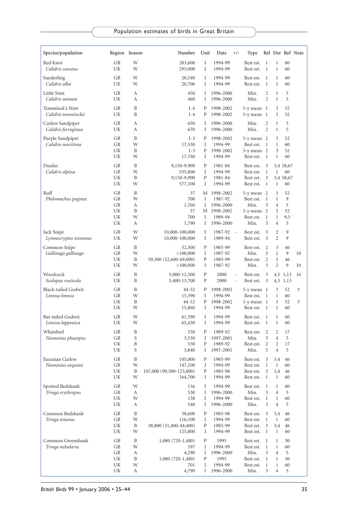| Species/population                          |                                  | Region Season              | Number                                                                   | Unit                       | Date<br>$+/-$                                                            | Type                                                               |                                                                        |                                                                                                  | Rel Der Ref Note                   |          |
|---------------------------------------------|----------------------------------|----------------------------|--------------------------------------------------------------------------|----------------------------|--------------------------------------------------------------------------|--------------------------------------------------------------------|------------------------------------------------------------------------|--------------------------------------------------------------------------------------------------|------------------------------------|----------|
| Red Knot<br>Calidris canutus                | GВ<br>UK                         | W<br>W                     | 283,600<br>295,000                                                       | I<br>I                     | 1994-99<br>1994-99                                                       | Best est.<br>Best est.                                             | 1<br>$\mathbf{1}$                                                      | $\mathbf{1}$<br>1                                                                                | 60<br>60                           |          |
| Sanderling<br>Calidris alba                 | GB<br>UK                         | W<br>W                     | 20,540<br>20,700                                                         | Ι<br>Ι                     | 1994-99<br>1994-99                                                       | Best est.<br>Best est.                                             | $\mathbf{1}$<br>1                                                      | 1<br>1                                                                                           | 60<br>60                           |          |
| Little Stint<br>Calidris minuta             | GB<br>UK                         | А<br>А                     | 450<br>460                                                               | Ι<br>Ι                     | 1996-2000<br>1996-2000                                                   | Min.<br>Min.                                                       | 2<br>$\overline{c}$                                                    | $\mathbf{1}$<br>$\mathbf{1}$                                                                     | 5<br>5                             |          |
| Temminck's Stint<br>Calidris temminckii     | GB<br>UK                         | B<br>B                     | $1 - 4$<br>$1 - 4$                                                       | P<br>P                     | 1998-2002<br>1998-2002                                                   | $5-y$ mean $1$<br>5-y mean 1                                       |                                                                        | 3<br>3                                                                                           | 52<br>52                           |          |
| Curlew Sandpiper<br>Calidris ferruginea     | GB<br>UK                         | А<br>А                     | 650<br>670                                                               | Ι<br>Ι                     | 1996-2000<br>1996-2000                                                   | Min.<br>Min.                                                       | 2<br>$\overline{c}$                                                    | 1<br>$\mathbf{1}$                                                                                | 5<br>5                             |          |
| Purple Sandpiper<br>Calidris maritima       | GB<br>GB<br>UK<br>UK             | B<br>W<br>B<br>W           | $1 - 3$<br>17,530<br>$1 - 3$<br>17,760                                   | Ρ<br>Ι<br>P<br>I           | 1998-2002<br>1994-99<br>1998-2002<br>1994-99                             | $5-y$ mean $2$<br>Best est.<br>5-y mean 2<br>Best est.             | 1<br>1                                                                 | 3<br>$\mathbf{1}$<br>3<br>$\mathbf{1}$                                                           | 52<br>60<br>52<br>60               |          |
| Dunlin<br>Calidris alpina                   | GB<br>GB<br>UK<br>UK             | B<br>W<br>В<br>W           | 9,150-9,900<br>555,800<br>9,150-9,900<br>577,100                         | P<br>I<br>P<br>I           | 1981-84<br>1994-99<br>1981-84<br>1994-99                                 | Best est.<br>Best est.<br>Best est.<br>Best est.                   | 3<br>1<br>3<br>$\mathbf{1}$                                            | $\mathbf{1}$<br>$\mathbf{1}$                                                                     | 3,4 58,67<br>60<br>3,4 58,67<br>60 |          |
| Ruff<br>Philomachus pugnax                  | GB<br>GB<br>GВ<br>UK<br>UK<br>UK | B<br>W<br>А<br>B<br>W<br>А | 37<br>700<br>1,760<br>37<br>700<br>1,790                                 | М<br>Ι<br>Ι<br>Ι<br>Ι      | 1998-2002<br>1987-92<br>1996-2000<br>M 1998-2002<br>1989-94<br>1996-2000 | 5-y mean 2<br>Best est.<br>Min.<br>5-y mean 2<br>Best est.<br>Min. | 1<br>3<br>$\mathbf{1}$<br>3                                            | 3<br>$\mathbf{1}$<br>$\overline{4}$<br>3<br>$\mathbf{1}$<br>4                                    | 52<br>9<br>5<br>52<br>9,5<br>5     |          |
| Jack Snipe<br>Lymnocryptes minimus          | GB<br>UK                         | W<br>W                     | 10,000-100,000<br>10,000-100,000                                         | I<br>I                     | 1987-92<br>÷.<br>1989-94                                                 | Best est.<br>Best est.                                             | 3<br>3                                                                 | 2<br>$\overline{2}$                                                                              | 9<br>9                             |          |
| Common Snipe<br>Gallinago gallinago         | GB<br>GB<br>UK<br>UK             | B<br>W<br>B<br>W           | 52,500<br>>100,000<br>59,300 (52,600-69,000)<br>>100,000                 | P<br>I<br>P<br>I           | 1985-99<br>1987-92<br>1985-99<br>1987-92                                 | Best est.<br>Min.<br>Best est.<br>Min.                             | $\overline{2}$<br>3<br>$\overline{2}$<br>3                             | 3<br>$\overline{2}$<br>3<br>$\overline{2}$                                                       | 46<br>9<br>46<br>9                 | 10<br>10 |
| Woodcock<br>Scolopax rusticola              | GB<br>UK                         | B<br>B                     | 5,000-12,500<br>5,400-13,700                                             | P<br>P                     | 2000<br>2000                                                             | Best est.<br>Best est.                                             | 3<br>3                                                                 |                                                                                                  | 4,5 1,13<br>4,5 1,13               | 16       |
| <b>Black-tailed Godwit</b><br>Limosa limosa | GB<br>GB<br>UK<br>UK             | B<br>W<br>B<br>W           | 44-52<br>15,390<br>44-52<br>15,860                                       | P<br>I<br>P<br>Ι           | 1998-2002<br>1994-99<br>1998-2002<br>1994-99                             | 5-y mean 1<br>Best est.<br>5-y mean 1<br>Best est.                 | -1<br>-1                                                               | 3<br>$\mathbf{1}$<br>3<br>$\mathbf{1}$                                                           | 52<br>60<br>52<br>60               | 3<br>3   |
| Bar-tailed Godwit<br>Limosa lapponica       | GB<br>UK                         | W<br>W                     | 61,590<br>65,430                                                         | Ι<br>I                     | 1994-99<br>1994-99                                                       | Best est.<br>Best est.                                             | -1<br>1                                                                | $\mathbf{1}$<br>1                                                                                | 60<br>60                           |          |
| Whimbrel<br>Numenius phaeopus               | GB<br>GB<br>UK<br>UK             | B<br>S<br>B<br>S           | 530<br>3,530<br>530<br>3,840                                             | P<br>Ι<br>P<br>Ι           | 1989-92<br>1997-2001<br>1989-92<br>1997-2001                             | Best est.<br>Min.<br>Best est.<br>Min.                             | 2<br>3<br>2<br>3                                                       | $\overline{2}$<br>$\overline{4}$<br>2<br>$\overline{4}$                                          | 17<br>5<br>17<br>5                 |          |
| Eurasian Curlew<br>Numenius arquata         | GВ<br>GВ<br>UK<br>UΚ             | B<br>W<br>В<br>W           | 105,000<br>147,100<br>107,000 (99,500-125,000)<br>164,700                | P<br>Ι<br>Ρ<br>Ι           | 1985-99<br>1994-99<br>1985-98<br>1994-99                                 | Best est.<br>Best est.<br>Best est.<br>Best est. 1                 | 3<br>$\mathbf{1}$<br>3                                                 | 3,4<br>$\mathbf{1}$<br>3,4<br>$\mathbf{1}$                                                       | 46<br>60<br>46<br>60               |          |
| Spotted Redshank<br>Tringa erythropus       | GB<br>GB<br>UK<br>UΚ             | W<br>А<br>W<br>А           | 136<br>530<br>138<br>540                                                 | Ι<br>Ι<br>Ι<br>Ι           | 1994-99<br>1996-2000<br>1994-99<br>1996-2000                             | Best est.<br>Min.<br>Best est.<br>Min.                             | $\mathbf{1}$<br>3<br>$\mathbf{1}$<br>3                                 | $\mathbf{1}$<br>$\overline{4}$<br>$\mathbf{1}$<br>$\overline{4}$                                 | 60<br>5<br>60<br>5                 |          |
| Common Redshank<br>Tringa totanus           | GB<br>GB<br>UK<br>UK             | B<br>W<br>B<br>W           | 38,600<br>116,100<br>38,800 (31,400-44,400)<br>125,800                   | P<br>I<br>P<br>I           | 1985-98<br>1994-99<br>1985-99<br>1994-99                                 | Best est.<br>Best est.<br>Best est.<br>Best est.                   | 3<br>$\mathbf{1}$<br>3<br>-1                                           | 3,4<br>$\mathbf{1}$<br>3,4<br>$\mathbf{1}$                                                       | 46<br>60<br>46<br>60               |          |
| Common Greenshank<br>Tringa nebularia       | GB<br>GB<br>GB<br>UK<br>UK<br>UK | B<br>W<br>А<br>B<br>W<br>А | $1,080(720-1,480)$<br>597<br>4,290<br>$1,080(720-1,480)$<br>701<br>4,790 | Ρ<br>I<br>Ι<br>P<br>I<br>Ι | 1995<br>1994-99<br>1996-2000<br>1995<br>1994-99<br>1996-2000             | Best est.<br>Best est.<br>Min.<br>Best est.<br>Best est.<br>Min.   | $\mathbf{1}$<br>$\mathbf{1}$<br>3<br>$\mathbf{1}$<br>$\mathbf{1}$<br>3 | $\mathbf{1}$<br>$\mathbf{1}$<br>$\overline{4}$<br>$\mathbf{1}$<br>$\mathbf{1}$<br>$\overline{4}$ | 30<br>60<br>5<br>30<br>60<br>5     |          |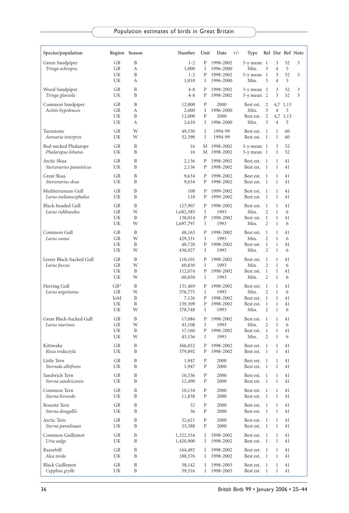| Species/population                         |          | Region Season | Number             | Unit         | Date<br>$+/-$              | Type                         |                                |              |               | Rel Der Ref Note |
|--------------------------------------------|----------|---------------|--------------------|--------------|----------------------------|------------------------------|--------------------------------|--------------|---------------|------------------|
| Green Sandpiper                            | GВ       | B             | $1 - 2$            | P            | 1998-2002                  | $5-y$ mean $1$               |                                | 3            | 52            | 3                |
| Tringa ochropus                            | GB       | А             | 1,000              | Ι            | 1996-2000                  | Min.                         | 3                              | 4            | 5             |                  |
|                                            | UK<br>UK | B<br>А        | $1 - 2$<br>1,010   | P<br>Ι       | 1998-2002                  | $5-y$ mean $1$<br>Min.       | 3                              | 3<br>4       | 52<br>5       | 3                |
|                                            |          |               |                    |              | 1996-2000                  |                              |                                |              |               |                  |
| Wood Sandpiper<br>Tringa glareola          | GВ<br>UK | B<br>B        | $4 - 8$<br>$4 - 8$ | Ρ<br>P       | 1998-2002<br>1998-2002     | $5-y$ mean $2$<br>5-y mean 2 |                                | 3<br>3       | 52<br>52      | 3<br>3           |
| Common Sandpiper                           | GВ       | B             | 12,000             | P            | 2000                       | Best est.                    | 2                              | 4,7          | 1,13          |                  |
| Actitis hypoleucos                         | GB       | А             | 2,600              | Ι            | 1996-2000                  | Min.                         | 3                              | 4            | 5             |                  |
|                                            | UK<br>UK | B<br>А        | 12,000<br>2,610    | P<br>Ι       | 2000<br>1996-2000          | Best est.<br>Min.            | 2<br>3                         | 4            | 4,7 1,13<br>5 |                  |
|                                            |          |               |                    |              |                            |                              |                                |              |               |                  |
| Turnstone<br>Arenaria interpres            | GB<br>UK | W<br>W        | 49,550<br>52,390   | Ι<br>Ι       | 1994-99<br>1994-99         | Best est.<br>Best est.       | -1<br>1                        | 1<br>1       | 60<br>60      |                  |
| Red-necked Phalarope<br>Phalaropus lobatus | GВ<br>UK | B<br>B        | 16<br>16           |              | M 1998-2002<br>M 1998-2002 | $5-y$ mean $1$<br>5-y mean 1 |                                | 3<br>3       | 52<br>52      |                  |
|                                            |          | B             |                    |              |                            |                              |                                |              |               |                  |
| Arctic Skua<br>Stercorarius parasiticus    | GВ<br>UK | B             | 2,136<br>2,136     | P<br>P       | 1998-2002<br>1998-2002     | Best est.<br>Best est.       | 1<br>1                         | 1<br>1       | 41<br>41      |                  |
| Great Skua                                 | GВ       | B             | 9,634              | P            | 1998-2002                  | Best est.                    | 1                              | 1            | 41            |                  |
| Stercorarius skua                          | UK       | B             | 9,634              | Ρ            | 1998-2002                  | Best est.                    | 1                              | 1            | 41            |                  |
| Mediterranean Gull                         | GB       | B             | 108                | P            | 1999-2002                  | Best est.                    | 1                              | 1            | 41            |                  |
| Larus melanocephalus                       | UK       | B             | 110                | P            | 1999-2002                  | Best est.                    | 1                              | 1            | 41            |                  |
| Black-headed Gull                          | GB       | B             | 127,907            | P            | 1998-2002                  | Best est.                    | 1                              | $\mathbf{1}$ | 41            |                  |
| Larus ridibundus                           | GB       | W             | 1,682,385          | I            | 1993                       | Min.                         | $\overline{2}$                 | 1            | 6             |                  |
|                                            | UK       | B             | 138,014            | P            | 1998-2002                  | Best est.                    | $\mathbf{1}$                   | 1            | 41            |                  |
|                                            | UK       | W             | 1,697,797          | Ι            | 1993                       | Min.                         | 2                              | 1            | 6             |                  |
| Common Gull                                | GB       | B             | 48,163             | P            | 1998-2002                  | Best est.                    | 1                              | 1            | 41            |                  |
| Larus canus                                | GВ<br>UK | W<br>B        | 429,331            | I<br>P       | 1993                       | Min.<br>Best est.            | $\overline{2}$<br>$\mathbf{1}$ | 1<br>1       | 6<br>41       |                  |
|                                            | UK       | W             | 48,720<br>430,927  | Ι            | 1998-2002<br>1993          | Min.                         | $\overline{2}$                 | 1            | 6             |                  |
| Lesser Black-backed Gull                   | GB       | B             |                    | P            | 1998-2002                  | Best est.                    | 1                              | 1            | 41            |                  |
| Larus fuscus                               | GB       | W             | 110,101<br>60,830  | Ι            | 1993                       | Min.                         | $\overline{2}$                 | 1            | 6             |                  |
|                                            | UK       | B             | 112,074            | P            | 1998-2002                  | Best est.                    | 1                              | 1            | 41            |                  |
|                                            | UK       | W             | 60,830             | Ι            | 1993                       | Min.                         | $\overline{2}$                 | $\mathbf{1}$ | 6             |                  |
| Herring Gull                               | $GB*$    | B             | 131,469            | Ρ            | 1998-2002                  | Best est.                    | 1                              | 1            | 41            |                  |
| Larus argentatus                           | GB       | W             | 376,775            | Ι            | 1993                       | Min.                         | $\overline{c}$                 | 1            | 6             |                  |
|                                            | IoM      | B             | 7,126              | P            | 1998-2002                  | Best est.                    | 1                              | 1            | 41            |                  |
|                                            | UK       | B             | 139,309            | P            | 1998-2002                  | Best est.                    | 1                              | 1            | 41            |                  |
|                                            | UK       | W             | 378,748            | Ι            | 1993                       | Min.                         | $\overline{2}$                 | 1            | 6             |                  |
| Great Black-backed Gull                    | GВ       | B             | 17,084             | P            | 1998-2002                  | Best est.                    | 1                              | 1            | 41            |                  |
| Larus marinus                              | GB<br>UK | W<br>B        | 43,108<br>17,160   | Ι<br>P       | 1993<br>1998-2002          | Min.<br>Best est.            | $\overline{2}$<br>$\mathbf{1}$ | 1<br>1       | 6<br>41       |                  |
|                                            | UK       | W             | 43,156             | Ι            | 1993                       | Min.                         | 2                              | 1            | 6             |                  |
| Kittiwake                                  | GВ       | B             | 366,832            | P            | 1998-2002                  | Best est.                    | 1                              | 1            | 41            |                  |
| Rissa tridactyla                           | UK       | B             | 379,892            | P            | 1998-2002                  | Best est.                    | 1                              | 1            | 41            |                  |
| Little Tern                                | GВ       | B             | 1,947              | P            | 2000                       | Best est.                    | 1                              | 1            | 41            |                  |
| Sternula albifrons                         | UK       | B             | 1,947              | P            | 2000                       | Best est.                    | 1                              | 1            | 41            |                  |
| Sandwich Tern                              | GB       | B             | 10,536             | $\, {\bf p}$ | 2000                       | Best est. 1                  |                                | 1            | 41            |                  |
| Sterna sandvicensis                        | UK       | B             | 12,490             | P            | 2000                       | Best est.                    | $\mathbf{1}$                   | 1            | 41            |                  |
| Common Tern                                | GB       | B             | 10,134             | P            | 2000                       | Best est.                    | 1                              | $\mathbf{1}$ | 41            |                  |
| Sterna hirundo                             | UK       | B             | 11,838             | Ρ            | 2000                       | Best est.                    | $\mathbf{1}$                   | $\mathbf{1}$ | 41            |                  |
| Roseate Tern                               | GB       | B             | 52                 | Ρ            | 2000                       | Best est.                    | 1                              | 1            | 41            |                  |
| Sterna dougallii                           | UK       | B             | 56                 | Ρ            | 2000                       | Best est.                    | 1                              | $\mathbf 1$  | 41            |                  |
| Arctic Tern                                | GB       | $\, {\bf B}$  | 52,621             | Ρ            | 2000                       | Best est.                    | 1                              | $\mathbf{1}$ | 41            |                  |
| Sterna paradisaea                          | UK       | B             | 53,388             | ${\bf P}$    | 2000                       | Best est.                    | 1                              | $\mathbf 1$  | 41            |                  |
| Common Guillemot                           | GB       | B             | 1,322,354          | Ι            | 1998-2002                  | Best est.                    | -1                             | 1            | 41            |                  |
| Uria aalge                                 | UK       | B             | 1,420,900          | Ι            | 1998-2002                  | Best est.                    | 1                              | 1            | 41            |                  |
| Razorbill                                  | GB       | B             | 164,492            | Ι            | 1998-2002                  | Best est.                    | 1                              | 1            | 41            |                  |
| Alca torda                                 | UK       | B             | 188,576            | Ι            | 1998-2002                  | Best est.                    | -1                             | 1            | 41            |                  |
| <b>Black Guillemot</b>                     | GВ       | B             | 38,142             | Ι            | 1998-2003                  | Best est.                    | 1                              | $\mathbf{1}$ | 41            |                  |
| Cepphus grylle                             | UK       | B             | 39,316             | Ι            | 1998-2003                  | Best est.                    | 1                              | 1            | 41            |                  |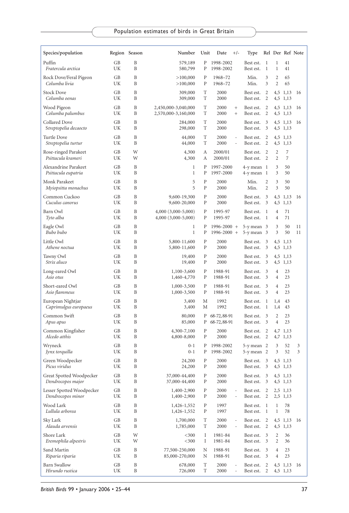| Species/population                             |          | Region Season     | Number                                     | Unit                   | Date<br>$+/-$                                                        | Type                             |              |                |                      | Rel Der Ref Note |
|------------------------------------------------|----------|-------------------|--------------------------------------------|------------------------|----------------------------------------------------------------------|----------------------------------|--------------|----------------|----------------------|------------------|
| Puffin                                         | GB       | B                 | 579,189                                    | P                      | 1998-2002                                                            | Best est.                        | 1            | $\mathbf{1}$   | 41                   |                  |
| Fratercula arctica                             | UK       | B                 | 580,799                                    | P                      | 1998-2002                                                            | Best est.                        | 1            | 1              | 41                   |                  |
| Rock Dove/Feral Pigeon                         | GB       | B                 | >100,000                                   | P                      | 1968-72                                                              | Min.                             | 3            | 2              | 65                   |                  |
| Columba livia                                  | UK       | B                 | >100,000                                   | ${\bf P}$              | 1968-72                                                              | Min.                             | 3            | 2              | 65                   |                  |
| <b>Stock Dove</b><br>Columba oenas             | GB<br>UK | B<br>B            | 309,000<br>309,000                         | T<br>T                 | 2000<br>2000                                                         | Best est.<br>Best est.           | 2<br>2       |                | 4,5 1,13<br>4,5 1,13 | 16               |
| Wood Pigeon<br>Columba palumbus                | GB<br>UK | B<br>B            | 2,450,000-3,040,000<br>2,570,000-3,160,000 | T<br>T                 | 2000<br>$^{+}$<br>2000<br>$^{+}$                                     | Best est.<br>Best est.           | 2<br>2       |                | 4,5 1,13<br>4,5 1,13 | 16               |
| Collared Dove<br>Streptopelia decaocto         | GB<br>UK | B<br>B            | 284,000<br>298,000                         | T<br>T                 | 2000<br>2000                                                         | Best est.<br>Best est.           | 3<br>3       |                | 4,5 1,13<br>4,5 1,13 | 16               |
| Turtle Dove<br>Streptopelia turtur             | GB<br>UK | B<br>B            | 44,000<br>44,000                           | T<br>T                 | 2000<br>$\sim$<br>2000<br>$\overline{\phantom{a}}$                   | Best est.<br>Best est.           | 2<br>2       |                | 4,5 1,13<br>4,5 1,13 |                  |
| Rose-ringed Parakeet                           | GB       | W                 | 4,300                                      | А                      | 2000/01                                                              | Best est.                        | 2            | 2              | 7                    |                  |
| Psittacula krameri                             | UK       | W                 | 4,300                                      | А                      | 2000/01                                                              | Best est.                        | 2            | 2              | 7                    |                  |
| Alexandrine Parakeet<br>Psittacula eupatria    | GB<br>UK | B<br>B            | 1<br>$\mathbf{1}$                          | Ρ<br>P                 | 1997-2000<br>1997-2000                                               | $4-y$ mean $1$<br>$4-y$ mean $1$ |              | 3<br>3         | 50<br>50             |                  |
| Monk Parakeet                                  | GB       | B                 | 5                                          | P                      | 2000                                                                 | Min.                             | 2            | 3              | 50                   |                  |
| Myiopsitta monachus                            | UK       | B                 | 5                                          | P                      | 2000                                                                 | Min.                             | 2            | 3              | 50                   |                  |
| Common Cuckoo                                  | GB       | B                 | 9,600-19,300                               | P                      | 2000                                                                 | Best est.                        | 3            | 4,5            | 1,13                 | 16               |
| Cuculus canorus                                | UK       | B                 | 9,600-20,000                               | P                      | 2000                                                                 | Best est.                        | 3            | 4,5            | 1,13                 |                  |
| Barn Owl                                       | GB       | B                 | 4,000 (3,000-5,000)                        | $\mathbf{P}$           | 1995-97                                                              | Best est.                        | 1            | $\overline{4}$ | 71                   |                  |
| Tyto alba                                      | UK       | B                 | 4,000 (3,000-5,000)                        | ${\bf P}$              | 1995-97                                                              | Best est.                        | 1            | $\overline{4}$ | 71                   |                  |
| Eagle Owl                                      | GB       | B                 | 1                                          | Ρ                      | 1996-2000 +                                                          | $5-y$ mean $3$                   |              | 3              | 50                   | 11               |
| Bubo bubo                                      | UK       | B                 | $\mathbf{1}$                               | P                      | $1996 - 2000 +$                                                      | $5-y$ mean $3$                   |              | 3              | 50                   | 11               |
| Little Owl<br>Athene noctua                    | GB<br>UK | B<br>B            | 5,800-11,600<br>5,800-11,600               | ${\bf P}$<br>P         | 2000<br>2000                                                         | Best est.<br>Best est.           | 3<br>3       |                | 4,5 1,13<br>4,5 1,13 |                  |
| Tawny Owl<br>Strix aluco                       | GB<br>UK | B<br>B            | 19,400<br>19,400                           | P<br>${\bf P}$         | 2000<br>2000                                                         | Best est.<br>Best est.           | 3<br>3       |                | 4,5 1,13<br>4,5 1,13 |                  |
| Long-eared Owl                                 | GB       | B                 | 1,100-3,600                                | P                      | 1988-91                                                              | Best est.                        | 3            | $\overline{4}$ | 23                   |                  |
| Asio otus                                      | UK       | B                 | 1,460-4,770                                | P                      | 1988-91                                                              | Best est.                        | 3            | $\overline{4}$ | 23                   |                  |
| Short-eared Owl                                | GB       | B                 | 1,000-3,500                                | ${\bf P}$              | 1988-91                                                              | Best est.                        | 3            | $\overline{4}$ | 23                   |                  |
| Asio flammeus                                  | UK       | B                 | 1,000-3,500                                | ${\bf P}$              | 1988-91                                                              | Best est.                        | 3            | 4              | 23                   |                  |
| European Nightjar                              | GB       | B                 | 3,400                                      | М                      | 1992                                                                 | Best est.                        | 1            | 1,4            | 43                   |                  |
| Caprimulgus europaeus                          | UK       | B                 | 3,400                                      | M                      | 1992                                                                 | Best est.                        | 1            | 1,4            | 43                   |                  |
| Common Swift                                   | GВ       | B                 | 80,000                                     | Ρ                      | 68-72, 88-91                                                         | Best est.                        | 3            | 2              | 23                   |                  |
| Apus apus                                      | UK       | B                 | 85,000                                     | Ρ                      | 68-72, 88-91                                                         | Best est.                        | 3            | $\overline{4}$ | 23                   |                  |
| Common Kingfisher<br>Alcedo atthis             | GB<br>UK | B<br>B            | 4,300-7,100<br>4,800-8,000                 | P<br>P                 | 2000<br>2000                                                         | Best est.<br>Best est.           | 2<br>2       | 4,7            | 1,13<br>4,7 1,13     |                  |
| Wryneck                                        | GB       | B                 | $0 - 1$                                    | Ρ                      | 1998-2002                                                            | $5-y$ mean $2$                   |              | 3              | 52                   | 3                |
| Jynx torquilla                                 | UK       | B                 | $0 - 1$                                    | Ρ                      | 1998-2002                                                            | 5-y mean 2                       |              | 3              | 52                   | 3                |
| Green Woodpecker<br>Picus viridus              | GB<br>UK | B<br>B            | 24,200<br>24,200                           | P<br>P                 | 2000<br>2000                                                         | Best est.<br>Best est.           | 3<br>3       |                | 4,5 1,13<br>4,5 1,13 |                  |
| Great Spotted Woodpecker<br>Dendrocopos major  | GB<br>UK | B<br>B            | 37,000-44,400<br>37,000-44,400             | ${\bf P}$<br>${\bf P}$ | 2000<br>2000                                                         | Best est.<br>Best est.           | 3<br>3       |                | 4,5 1,13<br>4,5 1,13 |                  |
| Lesser Spotted Woodpecker<br>Dendrocopos minor | GB<br>UK | B<br>B            | 1,400-2,900<br>1,400-2,900                 | ${\bf P}$<br>P         | 2000<br>$\overline{\phantom{a}}$<br>2000<br>$\overline{\phantom{a}}$ | Best est.<br>Best est.           | 2<br>2       |                | 2,5 1,13<br>2,5 1,13 |                  |
| Wood Lark                                      | GB       | B                 | 1,426-1,552                                | P                      | 1997                                                                 | Best est.                        | -1           | $\mathbf{1}$   | 78                   |                  |
| Lullula arborea                                | UK       | B                 | 1,426-1,552                                | P                      | 1997                                                                 | Best est.                        | $\mathbf{1}$ | $\mathbf{1}$   | 78                   |                  |
| Sky Lark<br>Alauda arvensis                    | GB<br>UK | $\, {\bf B}$<br>B | 1,700,000<br>1,785,000                     | T<br>T                 | 2000<br>2000<br>÷                                                    | Best est.<br>Best est.           | 2<br>2       |                | 4,5 1,13<br>4,5 1,13 | 16               |
| Shore Lark                                     | GB       | W                 | $<$ 300                                    | Ι                      | 1981-84                                                              | Best est.                        | 3            | 2              | 36                   |                  |
| Eremophila alpestris                           | UK       | W                 | $<$ 300                                    | Ι                      | 1981-84                                                              | Best est.                        | 3            | 2              | 36                   |                  |
| Sand Martin                                    | GB       | B                 | 77,500-250,000                             | N                      | 1988-91                                                              | Best est.                        | 3            | $\overline{4}$ | 23                   |                  |
| Riparia riparia                                | UK       | B                 | 85,000-270,000                             | N                      | 1988-91                                                              | Best est.                        | 3            | $\overline{4}$ | 23                   |                  |
| <b>Barn Swallow</b><br>Hirundo rustica         | GB<br>UK | B<br>B            | 678,000<br>726,000                         | T<br>T                 | 2000<br>2000                                                         | Best est.<br>Best est.           | 2<br>2       |                | 4,5 1,13<br>4,5 1,13 | -16              |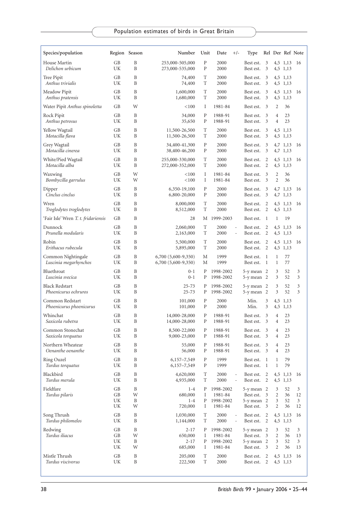| Species/population                            |                      | Region Season               | Number                                     | Unit                         | Date<br>$+/-$                                              | Type                                                     |                |                                  | Rel Der Ref Note     |                    |
|-----------------------------------------------|----------------------|-----------------------------|--------------------------------------------|------------------------------|------------------------------------------------------------|----------------------------------------------------------|----------------|----------------------------------|----------------------|--------------------|
| House Martin<br>Delichon urbicum              | GB<br>UK             | B<br>B                      | 253,000-505,000<br>273,000-535,000         | $\mathbf{P}$<br>P            | 2000<br>2000                                               | Best est.<br>Best est.                                   | 3<br>3         |                                  | 4,5 1,13<br>4,5 1,13 | -16                |
| Tree Pipit<br>Anthus trivialis                | GB<br>UK             | B<br>B                      | 74,400<br>74,400                           | T<br>T                       | 2000<br>2000                                               | Best est.<br>Best est.                                   | 3<br>3         |                                  | 4,5 1,13<br>4,5 1,13 |                    |
| Meadow Pipit<br>Anthus pratensis              | <b>GB</b><br>UK      | B<br>B                      | 1,600,000<br>1,680,000                     | T<br>T                       | 2000<br>2000                                               | Best est.<br>Best est.                                   | 3<br>3         |                                  | 4,5 1,13<br>4,5 1,13 | 16                 |
| Water Pipit Anthus spinoletta                 | GB                   | W                           | < 100                                      | Ι                            | 1981-84                                                    | Best est.                                                | 3              | 2                                | 36                   |                    |
| Rock Pipit<br>Anthus petrosus                 | GB<br>UK             | B<br>B                      | 34,000<br>35,650                           | $\mathbf{P}$<br>${\bf P}$    | 1988-91<br>1988-91                                         | Best est.<br>Best est.                                   | 3<br>3         | $\overline{4}$<br>$\overline{4}$ | 23<br>23             |                    |
| Yellow Wagtail<br>Motacilla flava             | GB<br>UK             | B<br>B                      | 11,500-26,500<br>11,500-26,500             | T<br>T                       | 2000<br>2000                                               | Best est.<br>Best est.                                   | 3<br>3         |                                  | 4,5 1,13<br>4,5 1,13 |                    |
| Grey Wagtail<br>Motacilla cinerea             | GB<br>UK             | B<br>B                      | 34,400-41,300<br>38,400-46,200             | $\mathbf{P}$<br>${\bf P}$    | 2000<br>2000                                               | Best est.<br>Best est.                                   | 3<br>3         |                                  | 4,7 1,13<br>4,7 1,13 | 16                 |
| White/Pied Wagtail<br>Motacilla alba          | GB<br>UK             | B<br>B                      | 255,000-330,000<br>272,000-352,000         | T<br>T                       | 2000<br>2000                                               | Best est.<br>Best est.                                   | 2<br>2         |                                  | 4,5 1,13<br>4,5 1,13 | 16                 |
| Waxwing<br>Bombycilla garrulus                | GB<br>UK             | W<br>W                      | < 100<br>< 100                             | Ι<br>Ι                       | 1981-84<br>1981-84                                         | Best est.<br>Best est.                                   | 3<br>3         | 2<br>2                           | 36<br>36             |                    |
| Dipper<br>Cinclus cinclus                     | GB<br>UK             | B<br>B                      | 6,350-19,100<br>6,800-20,000               | ${\bf P}$<br>${\bf P}$       | 2000<br>2000                                               | Best est.<br>Best est.                                   | 3<br>3         |                                  | 4,7 1,13<br>4,7 1,13 | 16                 |
| Wren<br>Troglodytes troglodytes               | <b>GB</b><br>UK      | B<br>B                      | 8,000,000<br>8,512,000                     | T<br>T                       | 2000<br>2000                                               | Best est.<br>Best est.                                   | 2<br>2         |                                  | 4,5 1,13<br>4,5 1,13 | 16                 |
| 'Fair Isle' Wren T. t. fridariensis           | GB                   | B                           | 28                                         | М                            | 1999-2003                                                  | Best est.                                                | 1              | 1                                | 19                   |                    |
| Dunnock<br>Prunella modularis                 | GB<br>UK             | B<br>B                      | 2,060,000<br>2,163,000                     | T<br>T                       | 2000<br>$\blacksquare$<br>2000<br>÷,                       | Best est.<br>Best est.                                   | 2<br>2         |                                  | 4,5 1,13<br>4,5 1,13 | 16                 |
| Robin<br>Erithacus rubecula                   | GB<br>UK             | B<br>B                      | 5,500,000<br>5,895,000                     | T<br>T                       | 2000<br>2000                                               | Best est.<br>Best est.                                   | 2<br>2         |                                  | 4,5 1,13<br>4,5 1,13 | 16                 |
| Common Nightingale<br>Luscinia megarhynchos   | GB<br>UK             | B<br>B                      | 6,700 (5,600-9,350)<br>6,700 (5,600-9,350) | M<br>М                       | 1999<br>1999                                               | Best est.<br>Best est.                                   | -1<br>1        | $\mathbf{1}$<br>1                | 77<br>77             |                    |
| Bluethroat<br>Luscinia svecica                | GB<br>UK             | B<br>B                      | $0 - 1$<br>$0 - 1$                         | P<br>Ρ                       | 1998-2002<br>1998-2002                                     | $5-y$ mean $2$<br>5-y mean 2                             |                | 3<br>3                           | 52<br>52             | 3<br>3             |
| <b>Black Redstart</b><br>Phoenicurus ochruros | GB<br>UK             | B<br>B                      | $25 - 73$<br>$25 - 73$                     | Ρ<br>Ρ                       | 1998-2002<br>1998-2002                                     | 5-y mean 2<br>$5-y$ mean $2$                             |                | 3<br>3                           | 52<br>52             | 3<br>3             |
| Common Redstart<br>Phoenicurus phoenicurus    | GB<br>UK             | B<br>B                      | 101,000<br>101,000                         | $\mathbf{P}$<br>$\mathbf{P}$ | 2000<br>2000                                               | Min.<br>Min.                                             | 3<br>3         | 4,5                              | 1,13<br>4,5 1,13     |                    |
| Whinchat<br>Saxicola rubetra                  | GB<br>UK             | B<br>B                      | 14,000-28,000<br>14,000-28,000             | $\mathbf{P}$<br>P            | 1988-91<br>1988-91                                         | Best est.<br>Best est.                                   | 3<br>3         | 4<br>$\overline{4}$              | 23<br>23             |                    |
| Common Stonechat<br>Saxicola torquatus        | GB<br>UK             | B<br>B                      | 8,500-22,000<br>9,000-23,000               | P<br>${\bf P}$               | 1988-91<br>1988-91                                         | Best est.<br>Best est.                                   | 3<br>3         | $\overline{4}$<br>4              | 23<br>23             |                    |
| Northern Wheatear<br>Oenanthe oenanthe        | <b>GB</b><br>UK      | B<br>B                      | 55,000<br>56,000                           | $\mathbf{P}$<br>${\bf P}$    | 1988-91<br>1988-91                                         | Best est.<br>Best est.                                   | 3<br>3         | 4<br>$\overline{4}$              | 23<br>23             |                    |
| Ring Ouzel<br>Turdus torquatus                | GB<br>UK             | B<br>B                      | 6,157-7,549<br>6,157-7,549                 | $\mathbf{P}$<br>$\mathbf{P}$ | 1999<br>1999                                               | Best est.<br>Best est.                                   | 1<br>1         | 1<br>1                           | 79<br>79             |                    |
| Blackbird<br>Turdus merula                    | GB<br>UK             | B<br>B                      | 4,620,000<br>4,935,000                     | T<br>T                       | 2000<br>$\blacksquare$<br>2000                             | Best est.<br>Best est. 2                                 | $\overline{2}$ |                                  | 4,5 1,13<br>4,5 1,13 | 16                 |
| Fieldfare<br>Turdus pilaris                   | GB<br>GB<br>UK<br>UK | $\, {\bf B}$<br>W<br>B<br>W | $1 - 4$<br>680,000<br>$1 - 4$<br>720,000   | Ρ<br>Ι<br>P<br>Ι             | 1998-2002<br>1981-84<br>1998-2002<br>1981-84               | $5-y$ mean $2$<br>Best est. 3<br>5-y mean 2<br>Best est. | 3              | 3<br>2<br>3<br>2                 | 52<br>36<br>52<br>36 | 3<br>12<br>3<br>12 |
| Song Thrush<br>Turdus philomelos              | GB<br>UK             | B<br>B                      | 1,030,000<br>1,144,000                     | T<br>T                       | 2000<br>$\overline{\phantom{a}}$<br>2000<br>$\blacksquare$ | Best est.<br>Best est. 2                                 | 2              |                                  | 4,5 1,13<br>4,5 1,13 | 16                 |
| Redwing<br>Turdus iliacus                     | GB<br>GB<br>UK<br>UK | B<br>W<br>B<br>W            | $2 - 17$<br>650,000<br>$2 - 17$<br>685,000 | Ρ<br>Ι<br>P<br>Ι             | 1998-2002<br>1981-84<br>1998-2002<br>1981-84               | 5-y mean 2<br>Best est.<br>5-y mean 2<br>Best est. 3     | 3              | 3<br>2<br>3<br>2                 | 52<br>36<br>52<br>36 | 3<br>13<br>3<br>13 |
| Mistle Thrush<br>Turdus viscivorus            | GB<br>UK             | B<br>Β                      | 205,000<br>222,500                         | T<br>T                       | 2000<br>2000                                               | Best est.<br>Best est.                                   | 2<br>2         |                                  | 4,5 1,13<br>4,5 1,13 | 16                 |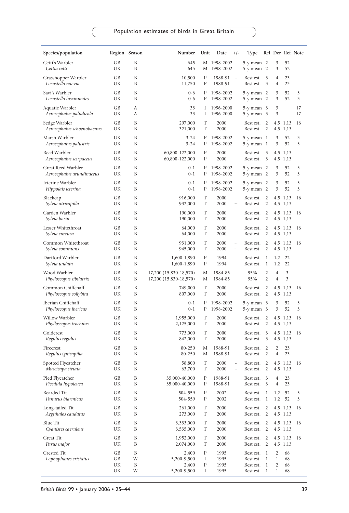| Species/population                              |                      | Region Season    | Number                                           | Unit             | Date<br>$+/-$                                  | Type                                               |                                   |                                        |                      | Rel Der Ref Note |
|-------------------------------------------------|----------------------|------------------|--------------------------------------------------|------------------|------------------------------------------------|----------------------------------------------------|-----------------------------------|----------------------------------------|----------------------|------------------|
| Cetti's Warbler<br>Cettia cetti                 | GB<br>UK             | B<br>B           | 645<br>645                                       |                  | M 1998-2002<br>M 1998-2002                     | $5-y$ mean $2$<br>5-y mean                         | - 2                               | 3<br>3                                 | 52<br>52             |                  |
| Grasshopper Warbler<br>Locustella naevia        | GB<br>UK             | B<br>B           | 10,500<br>11,750                                 | P<br>P           | 1988-91<br>1988-91<br>$\overline{\phantom{a}}$ | Best est.<br>Best est.                             | 3<br>3                            | $\overline{4}$<br>$\overline{4}$       | 23<br>23             |                  |
| Savi's Warbler<br>Locustella luscinioides       | GB<br>UK             | B<br>B           | $0 - 6$<br>$0 - 6$                               | P<br>P           | 1998-2002<br>1998-2002                         | $5-y$ mean $2$<br>5-y mean 2                       |                                   | 3<br>3                                 | 52<br>52             | 3<br>3           |
| Aquatic Warbler<br>Acrocephalus paludicola      | GB<br>UK             | А<br>A           | 33<br>33                                         | Ι<br>Ι           | 1996-2000<br>1996-2000                         | $5-y$ mean $3$<br>5-y mean 3                       |                                   | 3<br>3                                 |                      | 17<br>17         |
| Sedge Warbler<br>Acrocephalus schoenobaenus     | GB<br>UK             | B<br>B           | 297,000<br>321,000                               | T<br>T           | 2000<br>2000                                   | Best est.<br>Best est.                             | 2<br>2                            |                                        | 4,5 1,13<br>4,5 1,13 | 16               |
| Marsh Warbler<br>Acrocephalus palustris         | UK<br>UK             | B<br>B           | $3 - 24$<br>$3 - 24$                             | P<br>P           | 1998-2002<br>1998-2002                         | $5-y$ mean $1$<br>5-y mean 1                       |                                   | 3<br>3                                 | 52<br>52             | 3<br>3           |
| Reed Warbler<br>Acrocephalus scirpaceus         | GB<br>UK             | B<br>B           | 60,800-122,000<br>60,800-122,000                 | P<br>P           | 2000<br>2000                                   | Best est.<br>Best est.                             | 3<br>3                            | 4,5                                    | 4,5 1,13<br>1,13     |                  |
| Great Reed Warbler<br>Acrocephalus arundinaceus | <b>GB</b><br>UK      | B<br>B           | $0 - 1$<br>$0 - 1$                               | Ρ<br>P           | 1998-2002<br>1998-2002                         | $5-y$ mean $2$<br>5-y mean 2                       |                                   | 3<br>3                                 | 52<br>52             | 3<br>3           |
| Icterine Warbler<br>Hippolais icterina          | GB<br>UK             | B<br>B           | $0 - 1$<br>$0 - 1$                               | P<br>Ρ           | 1998-2002<br>1998-2002                         | 5-y mean 2<br>$5-y$ mean $2$                       |                                   | 3<br>3                                 | 52<br>52             | 3<br>3           |
| Blackcap<br>Sylvia atricapilla                  | GB<br>UK             | B<br>B           | 916,000<br>932,000                               | T<br>T           | 2000<br>$\! +$<br>2000<br>$^{+}$               | Best est.<br>Best est.                             | $\overline{2}$<br>2               |                                        | 4,5 1,13<br>4,5 1,13 | 16               |
| Garden Warbler<br>Sylvia borin                  | GB<br>UK             | B<br>B           | 190,000<br>190,000                               | T<br>T           | 2000<br>2000                                   | Best est.<br>Best est.                             | $\overline{2}$<br>2               |                                        | 4,5 1,13<br>4,5 1,13 | 16               |
| Lesser Whitethroat<br>Sylvia curruca            | GB<br>UK             | B<br>B           | 64,000<br>64,000                                 | T<br>T           | 2000<br>2000                                   | Best est.<br>Best est.                             | 2<br>2                            |                                        | 4,5 1,13<br>4,5 1,13 | 16               |
| Common Whitethroat<br>Sylvia communis           | GB<br>UK             | B<br>B           | 931,000<br>945,000                               | T<br>T           | 2000<br>$^{+}$<br>2000<br>$^{+}$               | Best est.<br>Best est.                             | 2<br>2                            |                                        | 4,5 1,13<br>4,5 1,13 | 16               |
| Dartford Warbler<br>Sylvia undata               | GB<br>UK             | B<br>B           | 1,600-1,890<br>1,600-1,890                       | P<br>P           | 1994<br>1994                                   | Best est.<br>Best est.                             | $\mathbf{1}$<br>1                 | 1,2<br>1,2                             | 22<br>22             |                  |
| Wood Warbler<br>Phylloscopus sibilatrix         | GB<br>UK             | B<br>B           | 17,200 (15,830-18,570)<br>17,200 (15,830-18,570) | М<br>М           | 1984-85<br>1984-85                             | 95%<br>95%                                         | $\overline{2}$<br>$\overline{2}$  | 4<br>$\overline{4}$                    | 3<br>3               |                  |
| Common Chiffchaff<br>Phylloscopus collybita     | GB<br>UK             | B<br>B           | 749,000<br>807,000                               | T<br>T           | 2000<br>2000                                   | Best est.<br>Best est.                             | $\overline{2}$<br>2               | 4,5                                    | 1,13<br>4,5 1,13     | 16               |
| Iberian Chiffchaff<br>Phylloscopus ibericus     | GB<br>UK             | B<br>B           | $0 - 1$<br>$0 - 1$                               | P<br>P           | 1998-2002<br>1998-2002                         | 5-y mean<br>5-y mean 3                             | 3                                 | 3<br>3                                 | 52<br>52             | 3<br>3           |
| Willow Warbler<br>Phylloscopus trochilus        | GB<br>UK             | B<br>B           | 1,955,000<br>2,125,000                           | T<br>T           | 2000<br>2000                                   | Best est.<br>Best est.                             | $\overline{2}$<br>2               |                                        | 4,5 1,13<br>4,5 1,13 | 16               |
| Goldcrest<br>Regulus regulus                    | GB<br>UK             | B<br>B           | 773,000<br>842,000                               | T<br>T           | 2000<br>2000                                   | Best est.<br>Best est.                             | 3<br>3                            |                                        | 4,5 1,13<br>4,5 1,13 | 16               |
| Firecrest<br>Regulus ignicapilla                | GB<br>UK             | B<br>B           | 80-250<br>80-250                                 | М<br>М           | 1988-91<br>1988-91                             | Best est.<br>Best est.                             | 2<br>2                            | 2<br>$\overline{4}$                    | 23<br>23             |                  |
| Spotted Flycatcher<br>Muscicapa striata         | GB<br>UK             | B<br>B           | 58,800<br>63,700                                 | T<br>T           | 2000<br>2000                                   | Best est.<br>Best est.                             | $\overline{2}$<br>2               |                                        | 4,5 1,13<br>4,5 1,13 | 16               |
| Pied Flycatcher<br>Ficedula hypoleuca           | GB<br>UK             | B<br>B           | 35,000-40,000<br>35,000-40,000                   | Ρ<br>Ρ           | 1988-91<br>1988-91                             | Best est.<br>Best est.                             | 3<br>3                            | 4<br>$\overline{4}$                    | 23<br>23             |                  |
| Bearded Tit<br>Panurus biarmicus                | GB<br>UK             | B<br>B           | 504-559<br>504-559                               | P<br>P           | 2002<br>2002                                   | Best est. 1<br>Best est.                           | $\mathbf{1}$                      | 1,2<br>1,2                             | 52<br>52             | 3<br>3           |
| Long-tailed Tit<br>Aegithalos caudatus          | GB<br>UK             | B<br>B           | 261,000<br>273,000                               | T<br>T           | 2000<br>2000                                   | Best est.<br>Best est.                             | 2<br>$\overline{c}$               |                                        | 4,5 1,13<br>4,5 1,13 | 16               |
| Blue Tit<br>Cyanistes caeruleus                 | GB<br>UK             | B<br>B           | 3,333,000<br>3,535,000                           | T<br>T           | 2000<br>2000                                   | Best est.<br>Best est.                             | 2<br>2                            |                                        | 4,5 1,13<br>4,5 1,13 | 16               |
| Great Tit<br>Parus major                        | GB<br>UK             | B<br>B           | 1,952,000<br>2,074,000                           | T<br>T           | 2000<br>2000                                   | Best est.<br>Best est.                             | $\overline{2}$<br>2               |                                        | 4,5 1,13<br>4,5 1,13 | 16               |
| Crested Tit<br>Lophophanes cristatus            | GB<br>GB<br>UK<br>UK | B<br>W<br>B<br>W | 2,400<br>5,200-9,500<br>2,400<br>5,200-9,500     | P<br>I<br>P<br>I | 1995<br>1995<br>1995<br>1995                   | Best est. 1<br>Best est.<br>Best est.<br>Best est. | 1<br>$\mathbf{1}$<br>$\mathbf{1}$ | 2<br>$\mathbf{1}$<br>2<br>$\mathbf{1}$ | 68<br>68<br>68<br>68 |                  |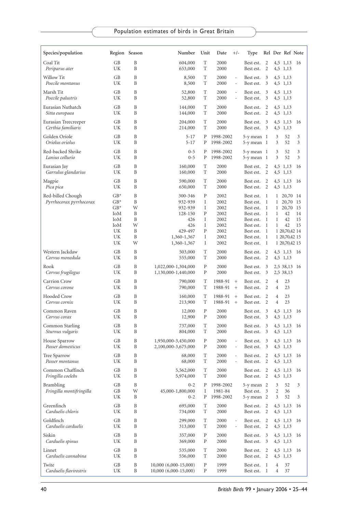| Species/population                           |                                                                | Region Season                             | Number                                                                                          | Unit                                                            | Date<br>$+/-$                                                        | Type                                                                                                              |                                                                    |                                             | Rel Der Ref Note                                                                                        |                |
|----------------------------------------------|----------------------------------------------------------------|-------------------------------------------|-------------------------------------------------------------------------------------------------|-----------------------------------------------------------------|----------------------------------------------------------------------|-------------------------------------------------------------------------------------------------------------------|--------------------------------------------------------------------|---------------------------------------------|---------------------------------------------------------------------------------------------------------|----------------|
| Coal Tit<br>Periparus ater                   | GВ<br>UK                                                       | B<br>B                                    | 604,000<br>653,000                                                                              | T<br>T                                                          | 2000<br>2000                                                         | Best est.<br>Best est.                                                                                            | 2<br>$\overline{2}$                                                |                                             | 4,5 1,13<br>4,5 1,13                                                                                    | -16            |
| Willow Tit<br>Poecile montanus               | GB<br>UK                                                       | B<br>B                                    | 8,500<br>8,500                                                                                  | T<br>T                                                          | 2000<br>÷<br>2000<br>÷,                                              | Best est.<br>Best est.                                                                                            | 3<br>3                                                             |                                             | 4,5 1,13<br>4,5 1,13                                                                                    |                |
| Marsh Tit<br>Poecile palustris               | GB<br>UK                                                       | B<br>B                                    | 52,800<br>52,800                                                                                | T<br>T                                                          | 2000<br>ä,<br>2000<br>$\blacksquare$                                 | Best est.<br>Best est.                                                                                            | 3<br>3                                                             |                                             | 4,5 1,13<br>4,5 1,13                                                                                    |                |
| Eurasian Nuthatch<br>Sitta europaea          | GВ<br>UK                                                       | B<br>B                                    | 144,000<br>144,000                                                                              | T<br>T                                                          | 2000<br>2000                                                         | Best est.<br>Best est.                                                                                            | 2<br>2                                                             |                                             | 4,5 1,13<br>4,5 1,13                                                                                    |                |
| Eurasian Treecreeper<br>Certhia familiaris   | GВ<br>UK                                                       | B<br>B                                    | 204,000<br>214,000                                                                              | T<br>T                                                          | 2000<br>2000                                                         | Best est.<br>Best est.                                                                                            | 3<br>3                                                             |                                             | 4,5 1,13<br>4,5 1,13                                                                                    | 16             |
| Golden Oriole<br>Oriolus oriolus             | GB<br>UK                                                       | B<br>B                                    | $5 - 17$<br>$5 - 17$                                                                            | P<br>Ρ                                                          | 1998-2002<br>1998-2002                                               | 5-y mean 1<br>5-y mean 1                                                                                          |                                                                    | 3<br>3                                      | 52<br>52                                                                                                | 3<br>3         |
| Red-backed Shrike<br>Lanius collurio         | GB<br>UK                                                       | B<br>B                                    | $0 - 5$<br>$0 - 5$                                                                              | P<br>Ρ                                                          | 1998-2002<br>1998-2002                                               | 5-y mean 1<br>$5-y$ mean $1$                                                                                      |                                                                    | 3<br>3                                      | 52<br>52                                                                                                | 3<br>3         |
| Eurasian Jay<br>Garrulus glandarius          | GB<br>UK                                                       | B<br>B                                    | 160,000<br>160,000                                                                              | T<br>T                                                          | 2000<br>2000                                                         | Best est.<br>Best est.                                                                                            | 2<br>2                                                             |                                             | 4,5 1,13<br>4,5 1,13                                                                                    | 16             |
| Magpie<br>Pica pica                          | GB<br>UK                                                       | B<br>B                                    | 590,000<br>650,000                                                                              | T<br>T                                                          | 2000<br>2000                                                         | Best est.<br>Best est.                                                                                            | 2<br>2                                                             |                                             | 4,5 1,13<br>4,5 1,13                                                                                    | 16             |
| Red-billed Chough<br>Pyrrhocorax pyrrhocorax | $GB*$<br>$GB*$<br>$GB*$<br>IoM<br>IoM<br>IoM<br>UK<br>UK<br>UK | B<br>B<br>W<br>B<br>B<br>W<br>B<br>B<br>W | 300-346<br>932-939<br>932-939<br>128-150<br>426<br>426<br>429-497<br>1,360-1,367<br>1,360-1,367 | $\mathbf{P}$<br>Ι<br>Ι<br>$\mathbf{P}$<br>I<br>Ι<br>P<br>I<br>Ι | 2002<br>2002<br>2002<br>2002<br>2002<br>2002<br>2002<br>2002<br>2002 | Best est.<br>Best est.<br>Best est.<br>Best est.<br>Best est.<br>Best est.<br>Best est.<br>Best est.<br>Best est. | -1<br>1<br>$\mathbf{1}$<br>-1<br>1<br>$\mathbf{1}$<br>-1<br>1<br>1 | $\mathbf{1}$<br>$\mathbf{1}$<br>1<br>1<br>1 | 1 20,70 14<br>20,70 15<br>20,70 15<br>42<br>42<br>42<br>1 20,70,42 14<br>1 20,70,42 15<br>1 20,70,42 15 | 14<br>15<br>15 |
| Western Jackdaw<br>Corvus monedula           | GB<br>UK                                                       | B<br>B                                    | 503,000<br>555,000                                                                              | T<br>T                                                          | 2000<br>2000                                                         | Best est.<br>Best est.                                                                                            | 2<br>2                                                             |                                             | 4,5 1,13 16<br>4,5 1,13                                                                                 |                |
| Rook<br>Corvus frugilegus                    | GB<br>UK                                                       | B<br>B                                    | 1,022,000-1,304,000<br>1,130,000-1,440,000                                                      | $\mathbf{P}$<br>P                                               | 2000<br>2000                                                         | Best est.<br>Best est.                                                                                            | 3<br>3                                                             |                                             | 2,5 38,13 16<br>2,5 38,13                                                                               |                |
| Carrion Crow<br>Corvus corone                | GB<br>UK                                                       | B<br>B                                    | 790,000<br>790,000                                                                              | T<br>T                                                          | 1988-91<br>$^{+}$<br>1988-91<br>$^{+}$                               | Best est.<br>Best est.                                                                                            | $\overline{2}$<br>2                                                | 4<br>4                                      | 23<br>23                                                                                                |                |
| <b>Hooded Crow</b><br>Corvus cornix          | GB<br>UK                                                       | B<br>B                                    | 160,000<br>213,900                                                                              | T<br>T                                                          | 1988-91<br>$^{+}$<br>1988-91<br>$\! + \!\!\!\!$                      | Best est.<br>Best est.                                                                                            | 2<br>2                                                             | 4<br>$\overline{4}$                         | 23<br>23                                                                                                |                |
| Common Raven<br>Corvus corax                 | GB<br>UK                                                       | B<br>B                                    | 12,000<br>12,900                                                                                | ${\bf P}$<br>P                                                  | 2000<br>2000                                                         | Best est.<br>Best est.                                                                                            | 3<br>3                                                             |                                             | 4,5 1,13<br>4,5 1,13                                                                                    | 16             |
| Common Starling<br>Sturnus vulgaris          | GB<br>UK                                                       | B<br>B                                    | 737,000<br>804,000                                                                              | T<br>T                                                          | 2000<br>2000                                                         | Best est.<br>Best est.                                                                                            | 3<br>3                                                             |                                             | 4,5 1,13<br>4,5 1,13                                                                                    | 16             |
| House Sparrow<br>Passer domesticus           | GВ<br>UΚ                                                       | B<br>B                                    | 1,950,000-3,450,000<br>2,100,000-3,675,000                                                      | P<br>P                                                          | 2000<br>$\overline{\phantom{a}}$<br>2000<br>$\overline{\phantom{a}}$ | Best est.<br>Best est.                                                                                            | 3<br>3                                                             |                                             | 4,5 1,13<br>4,5 1,13                                                                                    | 16             |
| Tree Sparrow<br>Passer montanus              | GВ<br>UK                                                       | B<br>B                                    | 68,000<br>68,000                                                                                | T<br>T                                                          | 2000<br>÷<br>2000<br>÷,                                              | Best est.<br>Best est.                                                                                            | 2<br>2                                                             |                                             | 4,5 1,13<br>4,5 1,13                                                                                    | 16             |
| Common Chaffinch<br>Fringilla coelebs        | GB<br>UK                                                       | B<br>B                                    | 5,562,000<br>5,974,000                                                                          | T<br>T                                                          | 2000<br>2000                                                         | Best est. 2 4,5 1,13 16<br>Best est. 2                                                                            |                                                                    |                                             | 4,5 1,13                                                                                                |                |
| Brambling<br>Fringilla montifringilla        | GB<br>GB<br>UK                                                 | B<br>W<br>B                               | $0 - 2$<br>45,000-1,800,000<br>$0 - 2$                                                          | Ρ<br>I<br>Ρ                                                     | 1998-2002<br>1981-84<br>1998-2002                                    | 5-y mean 2<br>Best est.<br>5-y mean 2                                                                             | 3                                                                  | 3<br>2<br>3                                 | 52<br>36<br>52                                                                                          | 3<br>3         |
| Greenfinch<br>Carduelis chloris              | GB<br>UK                                                       | B<br>B                                    | 695,000<br>734,000                                                                              | T<br>T                                                          | 2000<br>2000                                                         | Best est.<br>Best est.                                                                                            | 2<br>2                                                             |                                             | 4,5 1,13<br>4,5 1,13                                                                                    | 16             |
| Goldfinch<br>Carduelis carduelis             | GB<br>UK                                                       | B<br>B                                    | 299,000<br>313,000                                                                              | T<br>T                                                          | 2000<br>2000<br>$\overline{\phantom{a}}$                             | Best est.<br>Best est.                                                                                            | 2<br>2                                                             |                                             | 4,5 1,13<br>4,5 1,13                                                                                    | -16            |
| Siskin<br>Carduelis spinus                   | GB<br>UK                                                       | B<br>B                                    | 357,000<br>369,000                                                                              | Ρ<br>$\, {\bf p}$                                               | 2000<br>2000                                                         | Best est.<br>Best est.                                                                                            | 3<br>3                                                             |                                             | 4,5 1,13<br>4,5 1,13                                                                                    | 16             |
| Linnet<br>Carduelis cannabina                | GB<br>UK                                                       | B<br>B                                    | 535,000<br>556,000                                                                              | T<br>T                                                          | 2000<br>2000                                                         | Best est.<br>Best est.                                                                                            | 2<br>$\overline{2}$                                                |                                             | 4,5 1,13<br>4,5 1,13                                                                                    | 16             |
| Twite<br>Carduelis flavirostris              | GВ<br>UK                                                       | B<br>B                                    | $10,000(6,000-15,000)$<br>10,000 (6,000-15,000)                                                 | P<br>Ρ                                                          | 1999<br>1999                                                         | Best est.<br>Best est.                                                                                            | -1<br>$\mathbf{1}$                                                 | 4<br>4                                      | 37<br>37                                                                                                |                |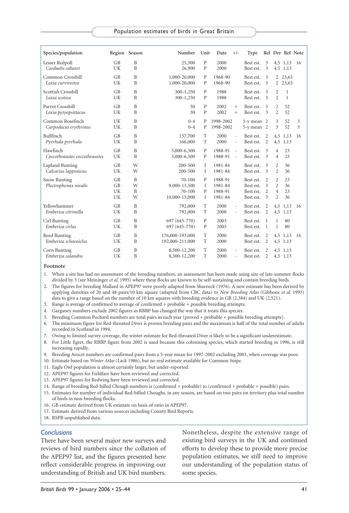| Species/population                        |                      | Region Season                | Number                                                    | Unit                         | Date                                     | $+/-$                              | Type                                             |                                            |                                                                      | Rel Der Ref Note             |        |
|-------------------------------------------|----------------------|------------------------------|-----------------------------------------------------------|------------------------------|------------------------------------------|------------------------------------|--------------------------------------------------|--------------------------------------------|----------------------------------------------------------------------|------------------------------|--------|
| Lesser Redpoll<br>Carduelis cabaret       | GB<br>UK             | $\mathbf{B}$<br>$\mathbf{B}$ | 25,300<br>26,900                                          | $\mathbf{P}$<br>P            | 2000<br>2000                             |                                    | Best est.<br>Best est.                           | 3<br>3                                     | 4,5                                                                  | 4,5 1,13 16<br>1,13          |        |
| Common Crossbill<br>Loxia curvirostra     | GB<br>UK             | B<br>B                       | 1,000-20,000<br>1,000-20,000                              | P<br>P                       | 1968-90<br>1968-90                       |                                    | Best est.<br>Best est.                           | 3<br>3                                     | 2<br>$\overline{2}$                                                  | 23,65<br>23,65               |        |
| Scottish Crossbill<br>Loxia scotica       | <b>GB</b><br>UK      | B<br>B                       | 300-1,250<br>300-1,250                                    | $\mathbf{P}$<br>P            | 1988<br>1988                             |                                    | Best est.<br>Best est.                           | 3<br>3                                     | $\overline{c}$<br>$\overline{2}$                                     | $\mathbf{1}$<br>$\mathbf{1}$ |        |
| Parrot Crossbill<br>Loxia pytyopsittacus  | GB<br>UK             | B<br>B                       | 30<br>30                                                  | $\mathbf{P}$<br>$\mathbf{P}$ | 2002<br>2002                             | $^{+}$<br>$^{+}$                   | Best est.<br>Best est.                           | 3<br>3                                     | $\overline{2}$<br>$\overline{c}$                                     | 52<br>52                     |        |
| Common Rosefinch<br>Carpodacus erythrinus | UK<br>UK             | B<br>B                       | $0 - 4$<br>$0 - 4$                                        | Ρ<br>$\mathbf{P}$            | 1998-2002<br>1998-2002                   |                                    | $5-y$ mean $2$<br>$5-y$ mean $2$                 |                                            | 3<br>3                                                               | 52<br>52                     | 3<br>3 |
| Bullfinch<br>Pyrrhula pyrrhula            | GB<br>UK             | B<br>B                       | 157,700<br>166,000                                        | T<br>T                       | 2000<br>2000                             | $\overline{\phantom{a}}$<br>$\sim$ | Best est.<br>Best est.                           | 2<br>2                                     | 4,5<br>4,5                                                           | 1,13<br>1,13                 | 16     |
| Hawfinch<br>Coccothraustes coccothraustes | GB<br>UK             | B<br>B                       | 3,000-6,500<br>3,000-6,500                                | P<br>P                       | 1988-91<br>1988-91                       | $\sim$<br>$\sim$                   | Best est.<br>Best est.                           | 3<br>$\mathbf{3}$                          | $\overline{4}$<br>$\overline{4}$                                     | 23<br>23                     |        |
| Lapland Bunting<br>Calcarius lapponicus   | GB<br>UK             | W<br>W                       | 200-500<br>200-500                                        | $\mathbf{I}$<br>$\mathbf{I}$ | 1981-84<br>1981-84                       |                                    | Best est.<br>Best est.                           | 3<br>3                                     | $\overline{c}$<br>$\overline{c}$                                     | 36<br>36                     |        |
| Snow Bunting<br>Plectrophenax nivalis     | GB<br>GB<br>UK<br>UK | $\mathbf{B}$<br>W<br>B<br>W  | $70 - 100$<br>9,000-13,500<br>$70 - 100$<br>10,000-15,000 | P<br>$\mathbf I$<br>P<br>I   | 1988-91<br>1981-84<br>1988-91<br>1981-84 |                                    | Best est.<br>Best est.<br>Best est.<br>Best est. | $\overline{c}$<br>3<br>$\overline{c}$<br>3 | $\overline{c}$<br>$\overline{c}$<br>$\overline{4}$<br>$\overline{2}$ | 23<br>36<br>23<br>36         |        |
| Yellowhammer<br>Emberiza citrinella       | GB<br>UK             | B<br>B                       | 792,000<br>792,000                                        | T<br>T                       | 2000<br>2000                             | $\sim$<br>$\bar{a}$                | Best est.<br>Best est.                           | $\overline{c}$<br>$\overline{2}$           | 4,5<br>4,5                                                           | 1,13<br>1,13                 | 16     |
| Cirl Bunting<br>Emberiza cirlus           | GB<br>UK             | B<br>$\overline{B}$          | 697 (645-770)<br>697 (645-770)                            | $\mathbf{P}$<br>$\mathbf{P}$ | 2003<br>2003                             |                                    | Best est.<br>Best est.                           | $\mathbf{1}$<br>$\overline{1}$             | $\mathbf{1}$<br>$\mathbf{1}$                                         | 80<br>80                     |        |
| Reed Bunting<br>Emberiza schoeniclus      | GB<br>UK             | $\overline{B}$<br>B          | 176,000-193,000<br>192,000-211,000                        | T<br>T                       | 2000<br>2000                             |                                    | Best est.<br>Best est.                           | $\overline{2}$<br>2                        | 4,5<br>4,5                                                           | 1,13<br>1,13                 | 16     |
| Corn Bunting<br>Emberiza calandra         | <b>GB</b><br>UK      | $\mathbf{B}$<br>B            | 8,500-12,200<br>8,500-12,200                              | T<br>T                       | 2000<br>2000                             | $\bar{a}$                          | Best est.<br>Best est.                           | 2<br>2                                     |                                                                      | 4.5 1.13<br>4,5 1,13         |        |

**Footnote**

1. When a site has had no assessment of the breeding numbers, an assessment has been made using size of late-summer flocks divided by 3 (see Meininger *et al.* 1995) where these flocks are known to be self-sustaining and contain breeding birds.

2. The figures for breeding Mallard in APEP97 were poorly adapted from Sharrock (1976). A new estimate has been derived by applying densities of 20 and 48 pairs/10 km square (adapted from CBC data) to *New Breeding Atlas* (Gibbons *et al*. 1993) data to give a range based on the number of 10 km squares with breeding evidence in GB (2,384) and UK (2,521).

- 3. Range is average of confirmed to average of confirmed + probable + possible breeding attempts.
- 4. Garganey numbers exclude 2002 figures as RBBP has changed the way that it treats this species.
- 5. Breeding Common Pochard numbers are total pairs in each year (proved + probable + possible breeding attempts).

6. The minimum figure for Red-throated Diver is proven breeding pairs and the maximum is half of the total number of adults recorded in Scotland in 1994.

7. Owing to limited survey coverage, the winter estimate for Red-throated Diver is likely to be a significant underestimate.

8. For Little Egret, the RBBP figure from 2002 is used because this colonising species, which started breeding in 1996, is still increasing rapidly.

- 9. Breeding Avocet numbers are confirmed pairs from a 5-year mean for 1997-2002 excluding 2001, when coverage was poor.
- 10. Estimate based on *Winter Atlas* (Lack 1986), but no real estimate available for Common Snipe.
- 11. Eagle Owl population is almost certainly larger, but under-reported.
- 12. APEP97 figures for Fieldfare have been reviewed and corrected.
- 13. APEP97 figures for Redwing have been reviewed and corrected.
- 14. Range of breeding Red-billed Chough numbers is (confirmed + probable) to (confirmed + probable + possible) pairs.
- 15. Estimates for number of individual Red-billed Choughs, in any season, are based on two pairs on territory plus total number of birds in non-breeding flocks.
- 16. GB estimate derived from UK estimate on basis of ratio in APEP97.
- 17. Estimate derived from various sources including County Bird Reports.
- 18. RSPB unpublished data.

#### *Conclusions*

There have been several major new surveys and reviews of bird numbers since the collation of the APEP97 list, and the figures presented here reflect considerable progress in improving our understanding of British and UK bird numbers. Nonetheless, despite the extensive range of existing bird surveys in the UK and continued efforts to develop these to provide more precise population estimates, we still need to improve our understanding of the population status of some species.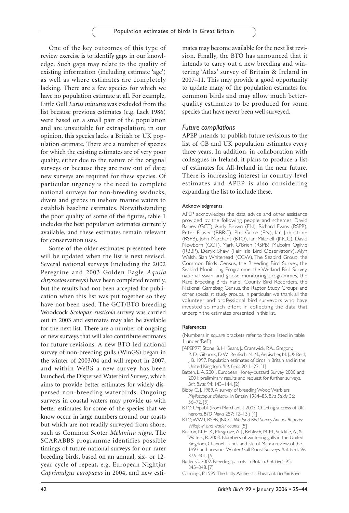One of the key outcomes of this type of review exercise is to identify gaps in our knowledge. Such gaps may relate to the quality of existing information (including estimate 'age') as well as where estimates are completely lacking. There are a few species for which we have no population estimate at all. For example, Little Gull *Larus minutus* was excluded from the list because previous estimates (e.g. Lack 1986) were based on a small part of the population and are unsuitable for extrapolation; in our opinion, this species lacks a British or UK population estimate. There are a number of species for which the existing estimates are of very poor quality, either due to the nature of the original surveys or because they are now out of date; new surveys are required for these species. Of particular urgency is the need to complete national surveys for non-breeding seaducks, divers and grebes in inshore marine waters to establish baseline estimates. Notwithstanding the poor quality of some of the figures, table 1 includes the best population estimates currently available, and these estimates remain relevant for conservation uses.

Some of the older estimates presented here will be updated when the list is next revised. Several national surveys (including the 2002 Peregrine and 2003 Golden Eagle *Aquila chrysaetos* surveys) have been completed recently, but the results had not been accepted for publication when this list was put together so they have not been used. The GCT/BTO breeding Woodcock *Scolopax rusticola* survey was carried out in 2003 and estimates may also be available for the next list. There are a number of ongoing or new surveys that will also contribute estimates for future revisions. A new BTO-led national survey of non-breeding gulls (WinGS) began in the winter of 2003/04 and will report in 2007, and within WeBS a new survey has been launched, the Dispersed Waterbird Survey, which aims to provide better estimates for widely dispersed non-breeding waterbirds. Ongoing surveys in coastal waters may provide us with better estimates for some of the species that we know occur in large numbers around our coasts but which are not readily surveyed from shore, such as Common Scoter *Melanitta nigra*. The SCARABBS programme identifies possible timings of future national surveys for our rarer breeding birds, based on an annual, six- or 12 year cycle of repeat, e.g. European Nightjar *Caprimulgus europaeus* in 2004, and new estimates may become available for the next list revision. Finally, the BTO has announced that it intends to carry out a new breeding and wintering 'Atlas' survey of Britain & Ireland in 2007–11. This may provide a good opportunity to update many of the population estimates for common birds and may allow much betterquality estimates to be produced for some species that have never been well surveyed.

## *Future compilations*

APEP intends to publish future revisions to the list of GB and UK population estimates every three years. In addition, in collaboration with colleagues in Ireland, it plans to produce a list of estimates for All-Ireland in the near future. There is increasing interest in country-level estimates and APEP is also considering expanding the list to include these.

#### Acknowledgments

APEP acknowledges the data, advice and other assistance provided by the following people and schemes: David Baines (GCT), Andy Brown (EN), Richard Evans (RSPB), Peter Fraser (BBRC), Phil Grice (EN), Ian Johnstone (RSPB), John Marchant (BTO), Ian Mitchell (JNCC), David Newborn (GCT), Mark O'Brien (RSPB), Malcolm Ogilvie (RBBP), Deryk Shaw (Fair Isle Bird Observatory), Alyn Walsh, Sian Whitehead (CCW), The Seabird Group, the Common Birds Census, the Breeding Bird Survey, the Seabird Monitoring Programme, the Wetland Bird Survey, national swan and goose monitoring programmes, the Rare Breeding Birds Panel, County Bird Recorders, the National Gamebag Census, the Raptor Study Groups and other specialist study groups. In particular, we thank all the volunteer and professional bird surveyors who have invested so much effort in collecting the data that underpin the estimates presented in this list.

#### References

(Numbers in square brackets refer to those listed in table 1 under 'Ref')

- [APEP97] Stone, B. H., Sears, J., Cranswick, P.A., Gregory, R. D., Gibbons, D. W., Rehfisch, M. M., Aebischer, N. J., & Reid, J. B. 1997. Population estimates of birds in Britain and in the United Kingdom. *Brit. Birds* 90: 1–22. [1]
- Batten, L.A. 2001. European Honey-buzzard Survey 2000 and 2001: preliminary results and request for further surveys. *Brit. Birds* 94: 143–144. [2]
- Bibby, C. J. 1989.A survey of breeding Wood Warblers *Phylloscopus sibilatrix*, in Britain 1984–85. *Bird Study* 36: 56–72. [3]
- BTO. Unpubl. (from Marchant, J. 2005. Charting success of UK herons. *BTO News* 257: 12–13.) [4]
- BTO,WWT, RSPB, JNCC. *Wetland Bird Survey Annual Reports: Wildfowl and wader counts*. [5]
- Burton, N. H. K., Musgrove, A. J., Rehfisch, M. M., Sutcliffe, A., & Waters, R. 2003. Numbers of wintering gulls in the United Kingdom, Channel Islands and Isle of Man: a review of the 1993 and previous Winter Gull Roost Surveys. *Brit. Birds* 96: 376–401. [6]
- Butler, C. 2002. Breeding parrots in Britain. *Brit. Birds* 95: 345–348. [7]
- Cannings, P. 1999.The Lady Amherst's Pheasant. *Bedfordshire*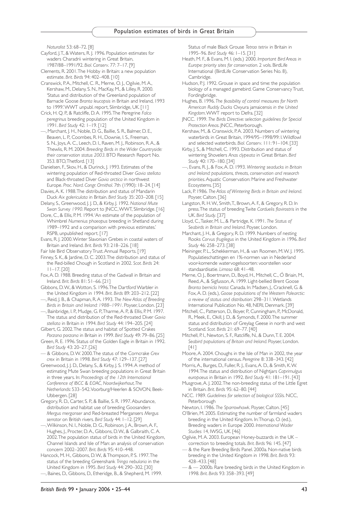*Naturalist* 53: 68–72. [8]

- Cayford, J.T., & Waters, R. J. 1996. Population estimates for waders Charadrii wintering in Great Britain, 1987/88–1991/92. *Biol. Conserv*. 77: 7–17. [9]
- Clements, R. 2001.The Hobby in Britain: a new population estimate. *Brit. Birds* 94: 402–408. [10]
- Cranswick, P.A., Mitchell, C. R., Merne, O. J., Ogilvie, M.A., Kershaw, M., Delany, S. N., MacKay, M., & Lilley, R. 2000. 'Status and distribution of the Greenland population of Barnacle Goose *Branta leucopsis* in Britain and Ireland, 1993 to 1999.'WWT unpubl. report, Slimbridge, UK. [11]
- Crick, H. Q. P., & Ratcliffe, D.A. 1995.The Peregrine *Falco peregrinus* breeding population of the United Kingdom in 1991. *Bird Study* 42: 1–19. [12]
- —, Marchant, J. H., Noble, D. G., Baillie, S. R., Balmer, D. E., Beaven, L. P., Coombes, R. H., Downie, I. S., Freeman, S. N., Joys,A. C., Leech, D. I., Raven, M. J., Robinson, R.A., & Thewlis, R. M. 2004. *Breeding Birds in the Wider Countryside: their conservation status 2003*. BTO Research Report No. 353. BTO,Thetford. [13]

Danielsen, F., Skov, H., & Durinck, J. 1993. Estimates of the wintering population of Red-throated Diver *Gavia stellata* and Black-throated Diver *Gavia arctica* in northwest Europe. *Proc. Nord. Congr. Ornithol*. 7th (1990): 18–24. [14]

- Davies,A. K. 1988.The distribution and status of Mandarin Duck *Aix galericulata* in Britain. *Bird Study* 35: 203–208. [15]
- Delany, S., Greenwood, J. J. D., & Kirby, J. 1992. *National Mute Swan Survey 1990*. Report to JNCC,WWT, Slimbridge. [16]
- Dore, C., & Ellis, P.M. 1994. 'An estimate of the population of Whimbrel *Numenius phaeopus* breeding in Shetland during 1989–1992 and a comparison with previous estimates.' RSPB, unpublished report. [17]
- Evans, R. J. 2000.Winter Slavonian Grebes in coastal waters of Britain and Ireland. *Brit. Birds* 93: 218–226. [18]
- Fair Isle Bird Observatory Trust. Annual Reports. [19]
- Finney, S. K., & Jardine, D. C. 2003.The distribution and status of the Red-billed Chough in Scotland in 2002. *Scot. Birds* 24: 11–17. [20]
- Fox,A. D. 1988. Breeding status of the Gadwall in Britain and Ireland. *Brit. Birds* 81: 51–66. [21]
- Gibbons, D.W., & Wotton, S. 1996.The Dartford Warbler in the United Kingdom in 1994. *Brit. Birds* 89: 203–212. [22]
- —, Reid, J. B., & Chapman, R.A. 1993. *The New Atlas of Breeding Birds in Britain and Ireland: 1988–1991*. Poyser, London. [23]
- —, Bainbridge, I. P., Mudge, G. P.,Tharme,A. P., & Ellis, P. M. 1997. The status and distribution of the Red-throated Diver *Gavia stellata* in Britain in 1994. *Bird Study* 44: 194–205. [24]
- Gilbert, G. 2002.The status and habitat of Spotted Crakes *Porzana porzana* in Britain in 1999. *Bird Study* 49: 79–86. [25]
- Green, R. E. 1996. Status of the Golden Eagle in Britain in 1992. *Bird Study* 43: 20–27. [26]
- & Gibbons, D.W. 2000.The status of the Corncrake *Crex crex* in Britain in 1998. *Bird Study* 47: 129–137. [27]
- Greenwood, J. J. D., Delany, S., & Kirby, J. S. 1994.A method of estimating Mute Swan breeding populations in Great Britain in three years. In: *Proceedings of the 12th International Conference of IBCC & EOAC, Noordwijkerhout,The Netherlands*: 533–542.Voorburg/Heerlen & SOVON, Beek-Ubbergen. [28]
- Gregory, R. D., Carter, S. P., & Baillie, S. R. 1997.Abundance, distribution and habitat use of breeding Goosanders *Mergus merganser* and Red-breasted Mergansers *Mergus serrator* on British rivers. *Bird Study* 44: 1–12. [29]
- —,Wilkinson, N. I., Noble, D. G., Robinson, J. A., Brown, A. F., Hughes, J., Procter, D.A., Gibbons, D.W., & Galbraith, C.A. 2002.The population status of birds in the United Kingdom, Channel Islands and Isle of Man: an analysis of conservation concern 2002–2007. *Brit. Birds* 95: 410–448.
- Hancock, M. H., Gibbons, D. W., & Thompson, P. S. 1997. The status of the breeding Greenshank *Tringa nebularia* in the United Kingdom in 1995. *Bird Study* 44: 290–302. [30]
- —, Baines, D., Gibbons, D., Etheridge, B., & Shepherd, M. 1999.

Status of male Black Grouse *Tetrao tetrix* in Britain in 1995–96. *Bird Study* 46: 1–15. [31]

- Heath, M. F., & Evans, M. I. (eds.) 2000. *Important Bird Areas in Europe: priority sites for conservation*. 2 vols. BirdLife International (BirdLife Conservation Series No. 8), Cambridge.
- Hudson, P.J. 1992. Grouse in space and time: the population biology of a managed gamebird. Game Conservancy Trust, Fordingbridge.
- Hughes, B. 1996. *The feasibility of control measures for North American Ruddy Ducks* Oxyura jamaicensis *in the United Kingdom*.WWT report to Defra. [32]
- JNCC. 1999. *The Birds Directive: selection guidelines for Special Protection Areas*. JNCC, Peterborough.
- Kershaw, M., & Cranswick, P.A. 2003. Numbers of wintering waterbirds in Great Britain, 1994/95–1998/99: I.Wildfowl and selected waterbirds. *Biol. Conserv*. 111: 91–104. [33]
- Kirby, J. S., & Mitchell, C. 1993. Distribution and status of wintering Shovelers *Anas clypeata* in Great Britain. *Bird Study* 40: 170–180. [34]
- —, Evans, R. J., & Fox,A. D. 1993. *Wintering seaducks in Britain and Ireland: populations, threats, conservation and research priorities*.Aquatic Conservation: Marine and Freshwater Ecosystems. [35]
- Lack, P. 1986. *The Atlas of Wintering Birds in Britain and Ireland*. Poyser, Calton. [36]
- Langston, R. H. W., Smith, T., Brown, A. F., & Gregory, R. D. In press.The status of breeding Twite *Carduelis flavirostris* in the UK. *Bird Study*. [37]
- Lloyd, C.,Tasker, M. L., & Partridge, K. 1991. *The Status of Seabirds in Britain and Ireland*. Poyser, London.
- Marchant, J. H., & Gregory, R. D. 1999. Numbers of nesting Rooks *Corvus frugilegus* in the United Kingdom in 1996. *Bird Study* 46: 258–273. [38]
- Meininger, P. L., Schekkerman, H., & van Roomen, M. W. J. 1995. Populatieschattingen en 1%-normen van in Nederland voor-komende watervogelsoorten: voorstellen voor standaardisatie. *Limosa* 68: 41–48.
- Merne, O. J., Boertmann, D., Boyd, H., Mitchell, C., Ó Briain, M., Reed,A., & Sigfusson,A. 1999. Light-bellied Brent Goose *Branta bernicla hrota*: Canada. In: Madsen, J., Cracknell, G. & Fox,A. D. (eds.), *Goose populations of the Western Palearctic: a review of status and distribution*: 298–311.Wetlands International Publication No. 48, NERI, Denmark. [39]
- Mitchell, C., Patterson, D., Boyer, P., Cunningham, P., McDonald, R., Meek, E., Okill, J. D., & Symonds, F. 2000.The summer status and distribution of Greylag Geese in north and west Scotland. *Scot. Birds* 21: 69–77. [40]
- Mitchell, P. I., Newton, S. F., Ratcliffe, N., & Dunn, T. E. 2004. *Seabird populations of Britain and Ireland*. Poyser, London. [41]
- Moore,A. 2004. Choughs in the Isle of Man in 2002, the year of the international census. *Peregrine* 8: 338–343. [42]
- Morris,A., Burges, D., Fuller, R. J., Evans,A. D., & Smith, K.W. 1994.The status and distribution of Nightjars *Caprimulgus europaeus* in Britain in 1992. *Bird Study* 41: 181–191. [43]
- Musgrove,A. J. 2002.The non-breeding status of the Little Egret in Britain. *Brit. Birds* 95: 62–80. [44]
- NCC. 1989. *Guidelines for selection of biological SSSIs*. NCC, Peterborough
- Newton, I. 1986. *The Sparrowhawk*. Poyser, Calton. [45]
- O'Brien, M. 2005. Estimating the number of farmland waders breeding in the United Kingdom. In:Thorup, O. (ed.), Breeding waders in Europe 2000. *International Wader Studies* 14, IWSG, UK. [46]
- Ogilvie, M.A. 2003. European Honey-buzzards in the UK correction to breeding totals. *Brit. Birds* 96: 145. [47]
- & the Rare Breeding Birds Panel. 2000a. Non-native birds breeding in the United Kingdom in 1998. *Brit. Birds* 93: 428–433. [48]
- & 2000b. Rare breeding birds in the United Kingdom in 1998. *Brit. Birds* 93: 358–393. [49]